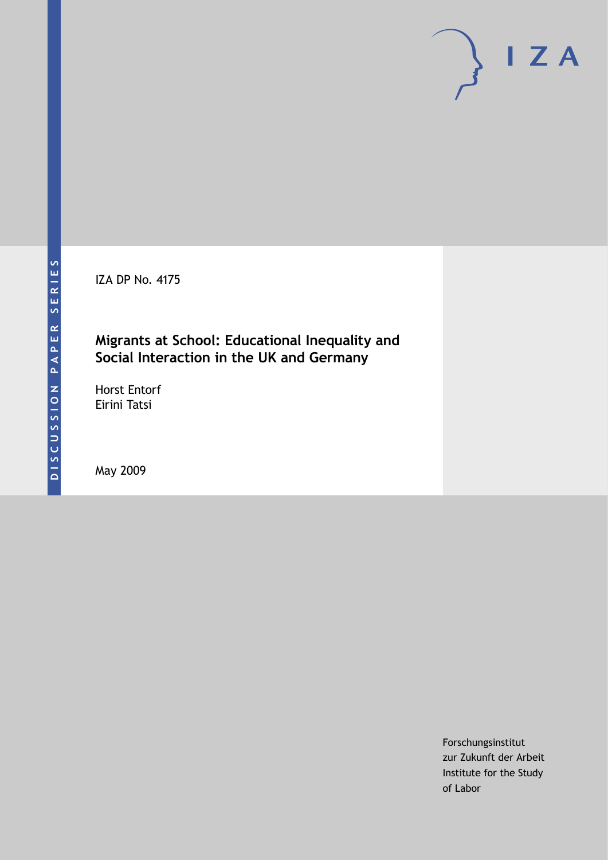IZA DP No. 4175

### **Migrants at School: Educational Inequality and Social Interaction in the UK and Germany**

Horst Entorf Eirini Tatsi

May 2009

Forschungsinstitut zur Zukunft der Arbeit Institute for the Study of Labor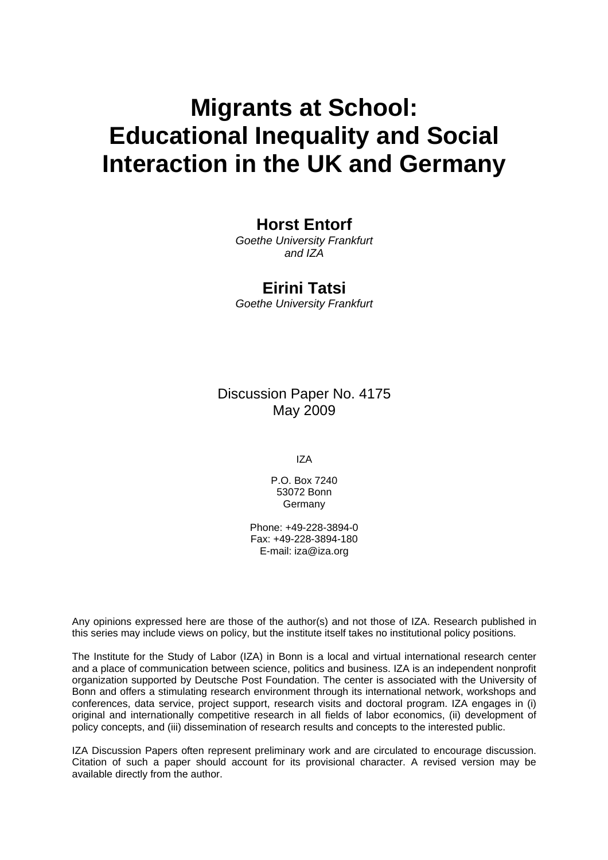# **Migrants at School: Educational Inequality and Social Interaction in the UK and Germany**

### **Horst Entorf**

*Goethe University Frankfurt and IZA* 

### **Eirini Tatsi**

*Goethe University Frankfurt* 

Discussion Paper No. 4175 May 2009

IZA

P.O. Box 7240 53072 Bonn Germany

Phone: +49-228-3894-0 Fax: +49-228-3894-180 E-mail: [iza@iza.org](mailto:iza@iza.org)

Any opinions expressed here are those of the author(s) and not those of IZA. Research published in this series may include views on policy, but the institute itself takes no institutional policy positions.

The Institute for the Study of Labor (IZA) in Bonn is a local and virtual international research center and a place of communication between science, politics and business. IZA is an independent nonprofit organization supported by Deutsche Post Foundation. The center is associated with the University of Bonn and offers a stimulating research environment through its international network, workshops and conferences, data service, project support, research visits and doctoral program. IZA engages in (i) original and internationally competitive research in all fields of labor economics, (ii) development of policy concepts, and (iii) dissemination of research results and concepts to the interested public.

IZA Discussion Papers often represent preliminary work and are circulated to encourage discussion. Citation of such a paper should account for its provisional character. A revised version may be available directly from the author.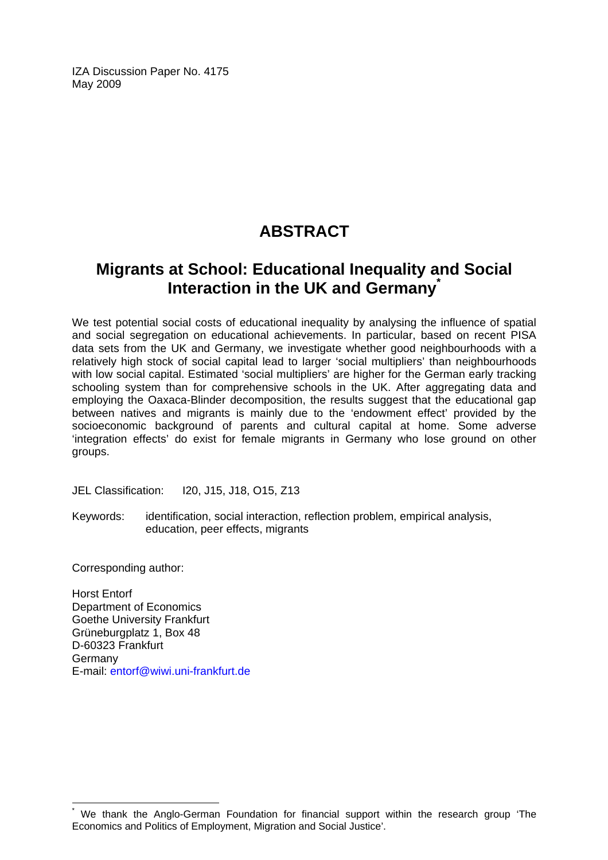IZA Discussion Paper No. 4175 May 2009

# **ABSTRACT**

# **Migrants at School: Educational Inequality and Social Interaction in the UK and Germany[\\*](#page-2-0)**

We test potential social costs of educational inequality by analysing the influence of spatial and social segregation on educational achievements. In particular, based on recent PISA data sets from the UK and Germany, we investigate whether good neighbourhoods with a relatively high stock of social capital lead to larger 'social multipliers' than neighbourhoods with low social capital. Estimated 'social multipliers' are higher for the German early tracking schooling system than for comprehensive schools in the UK. After aggregating data and employing the Oaxaca-Blinder decomposition, the results suggest that the educational gap between natives and migrants is mainly due to the 'endowment effect' provided by the socioeconomic background of parents and cultural capital at home. Some adverse 'integration effects' do exist for female migrants in Germany who lose ground on other groups.

JEL Classification: I20, J15, J18, O15, Z13

Keywords: identification, social interaction, reflection problem, empirical analysis, education, peer effects, migrants

Corresponding author:

 $\overline{a}$ 

Horst Entorf Department of Economics Goethe University Frankfurt Grüneburgplatz 1, Box 48 D-60323 Frankfurt Germany E-mail: [entorf@wiwi.uni-frankfurt.de](mailto:entorf@wiwi.uni-frankfurt.de) 

<span id="page-2-0"></span><sup>\*</sup> We thank the Anglo-German Foundation for financial support within the research group 'The Economics and Politics of Employment, Migration and Social Justice'.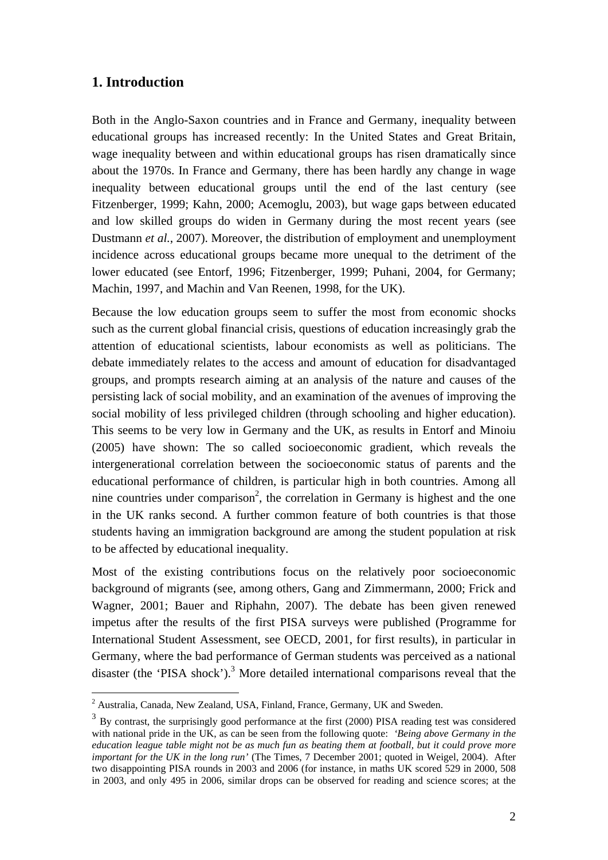### **1. Introduction**

Both in the Anglo-Saxon countries and in France and Germany, inequality between educational groups has increased recently: In the United States and Great Britain, wage inequality between and within educational groups has risen dramatically since about the 1970s. In France and Germany, there has been hardly any change in wage inequality between educational groups until the end of the last century (see Fitzenberger, 1999; Kahn, 2000; Acemoglu, 2003), but wage gaps between educated and low skilled groups do widen in Germany during the most recent years (see Dustmann *et al.*, 2007). Moreover, the distribution of employment and unemployment incidence across educational groups became more unequal to the detriment of the lower educated (see Entorf, 1996; Fitzenberger, 1999; Puhani, 2004, for Germany; Machin, 1997, and Machin and Van Reenen, 1998, for the UK).

Because the low education groups seem to suffer the most from economic shocks such as the current global financial crisis, questions of education increasingly grab the attention of educational scientists, labour economists as well as politicians. The debate immediately relates to the access and amount of education for disadvantaged groups, and prompts research aiming at an analysis of the nature and causes of the persisting lack of social mobility, and an examination of the avenues of improving the social mobility of less privileged children (through schooling and higher education). This seems to be very low in Germany and the UK, as results in Entorf and Minoiu (2005) have shown: The so called socioeconomic gradient, which reveals the intergenerational correlation between the socioeconomic status of parents and the educational performance of children, is particular high in both countries. Among all nine countries under comparison<sup>2</sup>, the correlation in Germany is highest and the one in the UK ranks second. A further common feature of both countries is that those students having an immigration background are among the student population at risk to be affected by educational inequality.

Most of the existing contributions focus on the relatively poor socioeconomic background of migrants (see, among others, Gang and Zimmermann, 2000; Frick and Wagner, 2001; Bauer and Riphahn, 2007). The debate has been given renewed impetus after the results of the first PISA surveys were published (Programme for International Student Assessment, see OECD, 2001, for first results), in particular in Germany, where the bad performance of German students was perceived as a national disaster (the 'PISA shock').<sup>3</sup> More detailed international comparisons reveal that the

 2 Australia, Canada, New Zealand, USA, Finland, France, Germany, UK and Sweden.

<sup>&</sup>lt;sup>3</sup> By contrast, the surprisingly good performance at the first (2000) PISA reading test was considered with national pride in the UK, as can be seen from the following quote: *'Being above Germany in the education league table might not be as much fun as beating them at football, but it could prove more important for the UK in the long run'* (The Times, 7 December 2001; quoted in Weigel, 2004). After two disappointing PISA rounds in 2003 and 2006 (for instance, in maths UK scored 529 in 2000, 508 in 2003, and only 495 in 2006, similar drops can be observed for reading and science scores; at the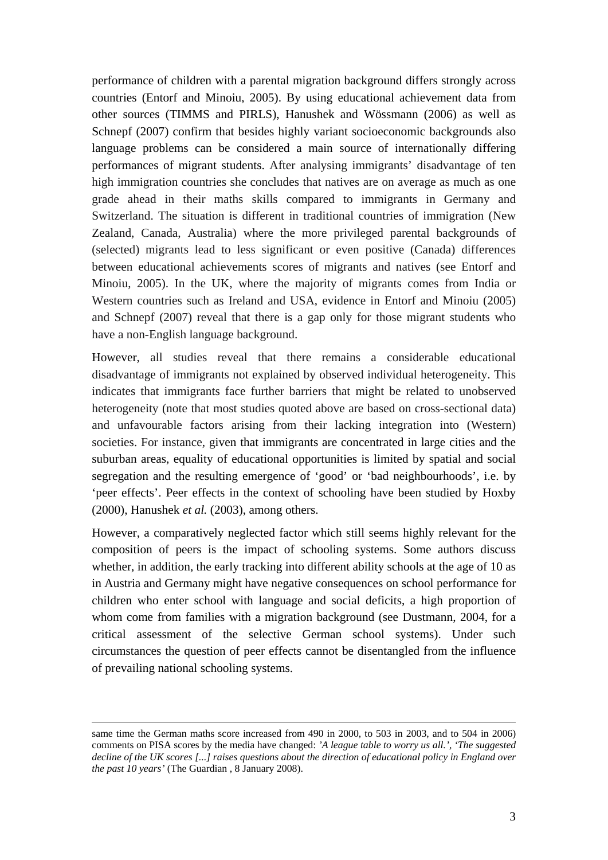performance of children with a parental migration background differs strongly across countries (Entorf and Minoiu, 2005). By using educational achievement data from other sources (TIMMS and PIRLS), Hanushek and Wössmann (2006) as well as Schnepf (2007) confirm that besides highly variant socioeconomic backgrounds also language problems can be considered a main source of internationally differing performances of migrant students. After analysing immigrants' disadvantage of ten high immigration countries she concludes that natives are on average as much as one grade ahead in their maths skills compared to immigrants in Germany and Switzerland. The situation is different in traditional countries of immigration (New Zealand, Canada, Australia) where the more privileged parental backgrounds of (selected) migrants lead to less significant or even positive (Canada) differences between educational achievements scores of migrants and natives (see Entorf and Minoiu, 2005). In the UK, where the majority of migrants comes from India or Western countries such as Ireland and USA, evidence in Entorf and Minoiu (2005) and Schnepf (2007) reveal that there is a gap only for those migrant students who have a non-English language background.

However, all studies reveal that there remains a considerable educational disadvantage of immigrants not explained by observed individual heterogeneity. This indicates that immigrants face further barriers that might be related to unobserved heterogeneity (note that most studies quoted above are based on cross-sectional data) and unfavourable factors arising from their lacking integration into (Western) societies. For instance, given that immigrants are concentrated in large cities and the suburban areas, equality of educational opportunities is limited by spatial and social segregation and the resulting emergence of 'good' or 'bad neighbourhoods', i.e. by 'peer effects'. Peer effects in the context of schooling have been studied by Hoxby (2000), Hanushek *et al.* (2003), among others.

However, a comparatively neglected factor which still seems highly relevant for the composition of peers is the impact of schooling systems. Some authors discuss whether, in addition, the early tracking into different ability schools at the age of 10 as in Austria and Germany might have negative consequences on school performance for children who enter school with language and social deficits, a high proportion of whom come from families with a migration background (see Dustmann, 2004, for a critical assessment of the selective German school systems). Under such circumstances the question of peer effects cannot be disentangled from the influence of prevailing national schooling systems.

same time the German maths score increased from 490 in 2000, to 503 in 2003, and to 504 in 2006) comments on PISA scores by the media have changed: *'A league table to worry us all.', 'The suggested decline of the UK scores [...] raises questions about the direction of educational policy in England over the past 10 years'* (The Guardian , 8 January 2008).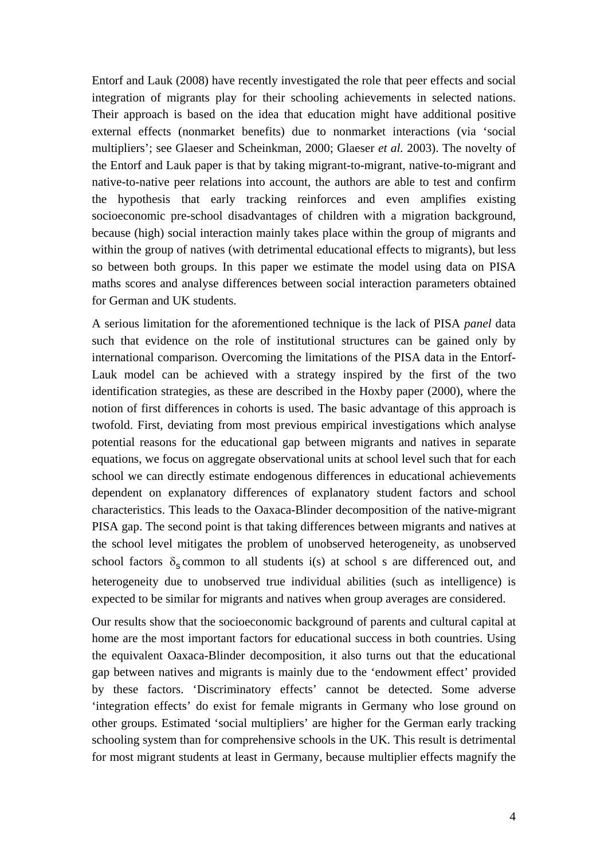Entorf and Lauk (2008) have recently investigated the role that peer effects and social integration of migrants play for their schooling achievements in selected nations. Their approach is based on the idea that education might have additional positive external effects (nonmarket benefits) due to nonmarket interactions (via 'social multipliers'; see Glaeser and Scheinkman, 2000; Glaeser *et al.* 2003). The novelty of the Entorf and Lauk paper is that by taking migrant-to-migrant, native-to-migrant and native-to-native peer relations into account, the authors are able to test and confirm the hypothesis that early tracking reinforces and even amplifies existing socioeconomic pre-school disadvantages of children with a migration background, because (high) social interaction mainly takes place within the group of migrants and within the group of natives (with detrimental educational effects to migrants), but less so between both groups. In this paper we estimate the model using data on PISA maths scores and analyse differences between social interaction parameters obtained for German and UK students.

A serious limitation for the aforementioned technique is the lack of PISA *panel* data such that evidence on the role of institutional structures can be gained only by international comparison. Overcoming the limitations of the PISA data in the Entorf-Lauk model can be achieved with a strategy inspired by the first of the two identification strategies, as these are described in the Hoxby paper (2000), where the notion of first differences in cohorts is used. The basic advantage of this approach is twofold. First, deviating from most previous empirical investigations which analyse potential reasons for the educational gap between migrants and natives in separate equations, we focus on aggregate observational units at school level such that for each school we can directly estimate endogenous differences in educational achievements dependent on explanatory differences of explanatory student factors and school characteristics. This leads to the Oaxaca-Blinder decomposition of the native-migrant PISA gap. The second point is that taking differences between migrants and natives at the school level mitigates the problem of unobserved heterogeneity, as unobserved school factors  $\delta_s$  common to all students i(s) at school s are differenced out, and heterogeneity due to unobserved true individual abilities (such as intelligence) is expected to be similar for migrants and natives when group averages are considered.

Our results show that the socioeconomic background of parents and cultural capital at home are the most important factors for educational success in both countries. Using the equivalent Oaxaca-Blinder decomposition, it also turns out that the educational gap between natives and migrants is mainly due to the 'endowment effect' provided by these factors. 'Discriminatory effects' cannot be detected. Some adverse 'integration effects' do exist for female migrants in Germany who lose ground on other groups. Estimated 'social multipliers' are higher for the German early tracking schooling system than for comprehensive schools in the UK. This result is detrimental for most migrant students at least in Germany, because multiplier effects magnify the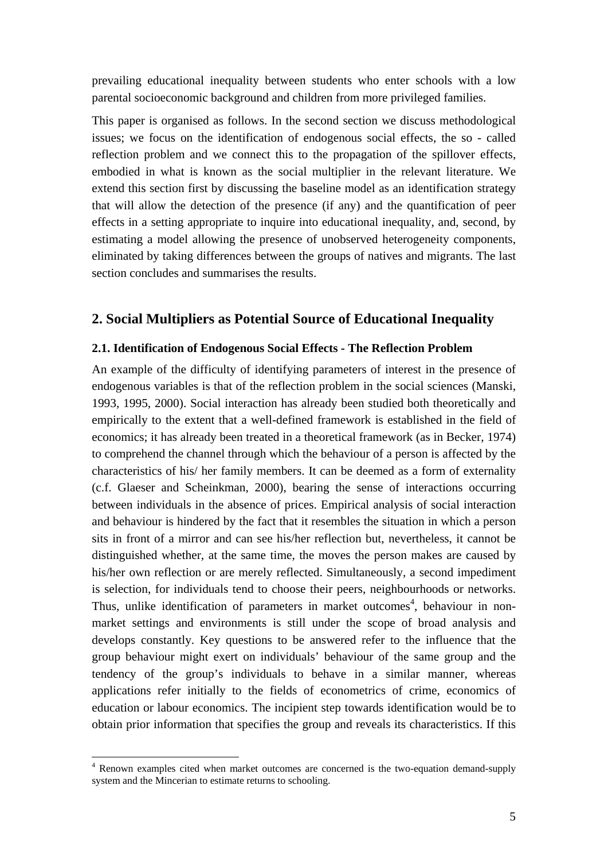prevailing educational inequality between students who enter schools with a low parental socioeconomic background and children from more privileged families.

This paper is organised as follows. In the second section we discuss methodological issues; we focus on the identification of endogenous social effects, the so - called reflection problem and we connect this to the propagation of the spillover effects, embodied in what is known as the social multiplier in the relevant literature. We extend this section first by discussing the baseline model as an identification strategy that will allow the detection of the presence (if any) and the quantification of peer effects in a setting appropriate to inquire into educational inequality, and, second, by estimating a model allowing the presence of unobserved heterogeneity components, eliminated by taking differences between the groups of natives and migrants. The last section concludes and summarises the results.

### **2. Social Multipliers as Potential Source of Educational Inequality**

#### **2.1. Identification of Endogenous Social Effects - The Reflection Problem**

An example of the difficulty of identifying parameters of interest in the presence of endogenous variables is that of the reflection problem in the social sciences (Manski, 1993, 1995, 2000). Social interaction has already been studied both theoretically and empirically to the extent that a well-defined framework is established in the field of economics; it has already been treated in a theoretical framework (as in Becker, 1974) to comprehend the channel through which the behaviour of a person is affected by the characteristics of his/ her family members. It can be deemed as a form of externality (c.f. Glaeser and Scheinkman, 2000), bearing the sense of interactions occurring between individuals in the absence of prices. Empirical analysis of social interaction and behaviour is hindered by the fact that it resembles the situation in which a person sits in front of a mirror and can see his/her reflection but, nevertheless, it cannot be distinguished whether, at the same time, the moves the person makes are caused by his/her own reflection or are merely reflected. Simultaneously, a second impediment is selection, for individuals tend to choose their peers, neighbourhoods or networks. Thus, unlike identification of parameters in market outcomes<sup>4</sup>, behaviour in nonmarket settings and environments is still under the scope of broad analysis and develops constantly. Key questions to be answered refer to the influence that the group behaviour might exert on individuals' behaviour of the same group and the tendency of the group's individuals to behave in a similar manner, whereas applications refer initially to the fields of econometrics of crime, economics of education or labour economics. The incipient step towards identification would be to obtain prior information that specifies the group and reveals its characteristics. If this

<sup>&</sup>lt;sup>4</sup> Renown examples cited when market outcomes are concerned is the two-equation demand-supply system and the Mincerian to estimate returns to schooling.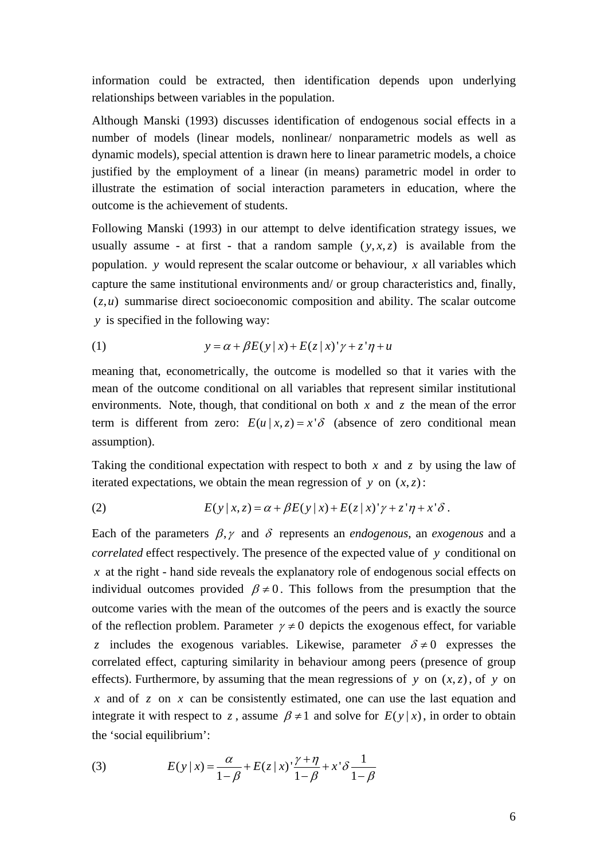information could be extracted, then identification depends upon underlying relationships between variables in the population.

Although Manski (1993) discusses identification of endogenous social effects in a number of models (linear models, nonlinear/ nonparametric models as well as dynamic models), special attention is drawn here to linear parametric models, a choice justified by the employment of a linear (in means) parametric model in order to illustrate the estimation of social interaction parameters in education, where the outcome is the achievement of students.

Following Manski (1993) in our attempt to delve identification strategy issues, we usually assume - at first - that a random sample  $(y, x, z)$  is available from the population. *y* would represent the scalar outcome or behaviour, *x* all variables which capture the same institutional environments and/ or group characteristics and, finally,  $(z, u)$  summarise direct socioeconomic composition and ability. The scalar outcome *y* is specified in the following way:

(1) 
$$
y = \alpha + \beta E(y|x) + E(z|x)^{\prime} \gamma + z^{\prime} \eta + u
$$

meaning that, econometrically, the outcome is modelled so that it varies with the mean of the outcome conditional on all variables that represent similar institutional environments. Note, though, that conditional on both *x* and *z* the mean of the error term is different from zero:  $E(u | x, z) = x^{\dagger} \delta$  (absence of zero conditional mean assumption).

Taking the conditional expectation with respect to both *x* and *z* by using the law of iterated expectations, we obtain the mean regression of  $y$  on  $(x, z)$ :

(2) 
$$
E(y|x,z) = \alpha + \beta E(y|x) + E(z|x) \gamma + z \gamma + x' \delta.
$$

Each of the parameters  $\beta$ ,  $\gamma$  and  $\delta$  represents an *endogenous*, an *exogenous* and a *correlated* effect respectively. The presence of the expected value of *y* conditional on *x* at the right - hand side reveals the explanatory role of endogenous social effects on individual outcomes provided  $\beta \neq 0$ . This follows from the presumption that the outcome varies with the mean of the outcomes of the peers and is exactly the source of the reflection problem. Parameter  $\gamma \neq 0$  depicts the exogenous effect, for variable *z* includes the exogenous variables. Likewise, parameter  $\delta \neq 0$  expresses the correlated effect, capturing similarity in behaviour among peers (presence of group effects). Furthermore, by assuming that the mean regressions of *y* on  $(x, z)$ , of *y* on *x* and of *z* on *x* can be consistently estimated, one can use the last equation and integrate it with respect to *z*, assume  $\beta \neq 1$  and solve for  $E(y|x)$ , in order to obtain the 'social equilibrium':

(3) 
$$
E(y|x) = \frac{\alpha}{1-\beta} + E(z|x) \cdot \frac{\gamma + \eta}{1-\beta} + x' \delta \frac{1}{1-\beta}
$$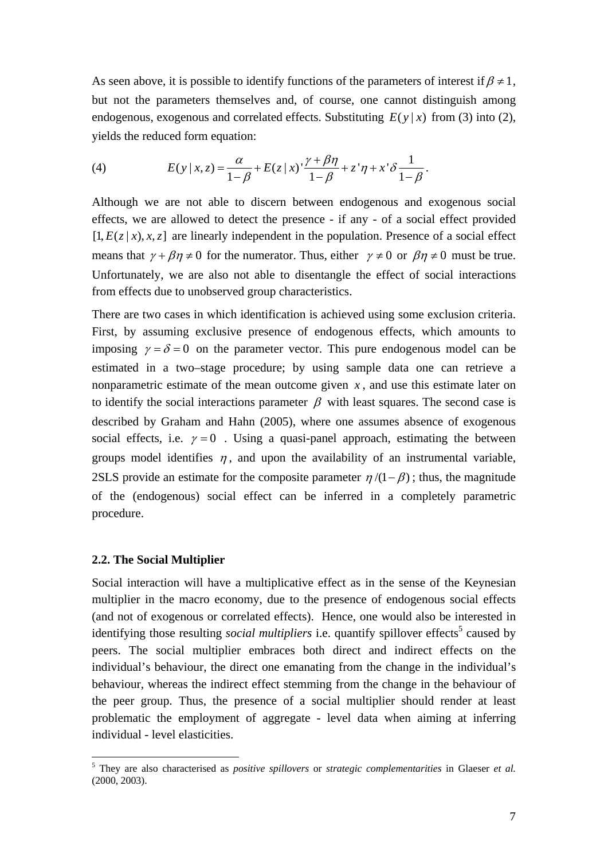As seen above, it is possible to identify functions of the parameters of interest if  $\beta \neq 1$ , but not the parameters themselves and, of course, one cannot distinguish among endogenous, exogenous and correlated effects. Substituting  $E(y|x)$  from (3) into (2), yields the reduced form equation:

(4) 
$$
E(y|x,z) = \frac{\alpha}{1-\beta} + E(z|x) \cdot \frac{\gamma + \beta \eta}{1-\beta} + z' \eta + x' \delta \frac{1}{1-\beta}.
$$

Although we are not able to discern between endogenous and exogenous social effects, we are allowed to detect the presence - if any - of a social effect provided  $[1, E(z | x), x, z]$  are linearly independent in the population. Presence of a social effect means that  $\gamma + \beta \eta \neq 0$  for the numerator. Thus, either  $\gamma \neq 0$  or  $\beta \eta \neq 0$  must be true. Unfortunately, we are also not able to disentangle the effect of social interactions from effects due to unobserved group characteristics.

There are two cases in which identification is achieved using some exclusion criteria. First, by assuming exclusive presence of endogenous effects, which amounts to imposing  $\gamma = \delta = 0$  on the parameter vector. This pure endogenous model can be estimated in a two–stage procedure; by using sample data one can retrieve a nonparametric estimate of the mean outcome given  $x$ , and use this estimate later on to identify the social interactions parameter  $\beta$  with least squares. The second case is described by Graham and Hahn (2005), where one assumes absence of exogenous social effects, i.e.  $\gamma = 0$ . Using a quasi-panel approach, estimating the between groups model identifies  $\eta$ , and upon the availability of an instrumental variable, 2SLS provide an estimate for the composite parameter  $\eta/(1 - \beta)$ ; thus, the magnitude of the (endogenous) social effect can be inferred in a completely parametric procedure.

#### **2.2. The Social Multiplier**

<u>.</u>

Social interaction will have a multiplicative effect as in the sense of the Keynesian multiplier in the macro economy, due to the presence of endogenous social effects (and not of exogenous or correlated effects). Hence, one would also be interested in identifying those resulting *social multipliers* i.e. quantify spillover effects<sup>5</sup> caused by peers. The social multiplier embraces both direct and indirect effects on the individual's behaviour, the direct one emanating from the change in the individual's behaviour, whereas the indirect effect stemming from the change in the behaviour of the peer group. Thus, the presence of a social multiplier should render at least problematic the employment of aggregate - level data when aiming at inferring individual - level elasticities.

<sup>5</sup> They are also characterised as *positive spillovers* or *strategic complementarities* in Glaeser *et al.* (2000, 2003).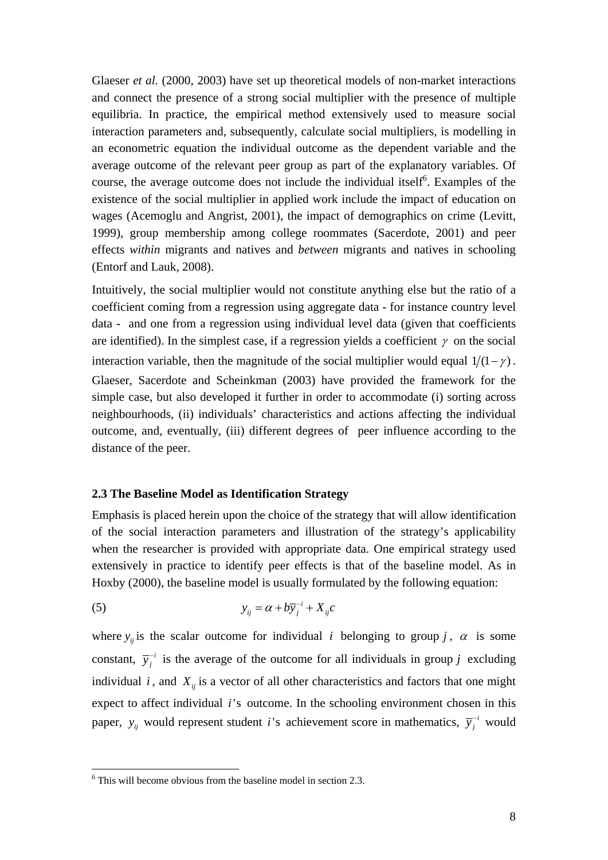Glaeser *et al.* (2000, 2003) have set up theoretical models of non-market interactions and connect the presence of a strong social multiplier with the presence of multiple equilibria. In practice, the empirical method extensively used to measure social interaction parameters and, subsequently, calculate social multipliers, is modelling in an econometric equation the individual outcome as the dependent variable and the average outcome of the relevant peer group as part of the explanatory variables. Of course, the average outcome does not include the individual itself $6$ . Examples of the existence of the social multiplier in applied work include the impact of education on wages (Acemoglu and Angrist, 2001), the impact of demographics on crime (Levitt, 1999), group membership among college roommates (Sacerdote, 2001) and peer effects *within* migrants and natives and *between* migrants and natives in schooling (Entorf and Lauk, 2008).

Intuitively, the social multiplier would not constitute anything else but the ratio of a coefficient coming from a regression using aggregate data - for instance country level data - and one from a regression using individual level data (given that coefficients are identified). In the simplest case, if a regression yields a coefficient  $\gamma$  on the social interaction variable, then the magnitude of the social multiplier would equal  $1/(1 - \gamma)$ . Glaeser, Sacerdote and Scheinkman (2003) have provided the framework for the simple case, but also developed it further in order to accommodate (i) sorting across neighbourhoods, (ii) individuals' characteristics and actions affecting the individual outcome, and, eventually, (iii) different degrees of peer influence according to the distance of the peer.

#### **2.3 The Baseline Model as Identification Strategy**

Emphasis is placed herein upon the choice of the strategy that will allow identification of the social interaction parameters and illustration of the strategy's applicability when the researcher is provided with appropriate data. One empirical strategy used extensively in practice to identify peer effects is that of the baseline model. As in Hoxby (2000), the baseline model is usually formulated by the following equation:

$$
y_{ij} = \alpha + b\overline{y}_j^{-i} + X_{ij}c
$$

where  $y_{ij}$  is the scalar outcome for individual *i* belonging to group *j*,  $\alpha$  is some constant,  $\overline{y}_j^{-i}$  is the average of the outcome for all individuals in group *j* excluding individual  $i$ , and  $X_{ij}$  is a vector of all other characteristics and factors that one might expect to affect individual *i* 's outcome. In the schooling environment chosen in this paper,  $y_{ij}$  would represent student *i*'s achievement score in mathematics,  $\overline{y}_j^{-i}$  would

<sup>&</sup>lt;sup>6</sup> This will become obvious from the baseline model in section 2.3.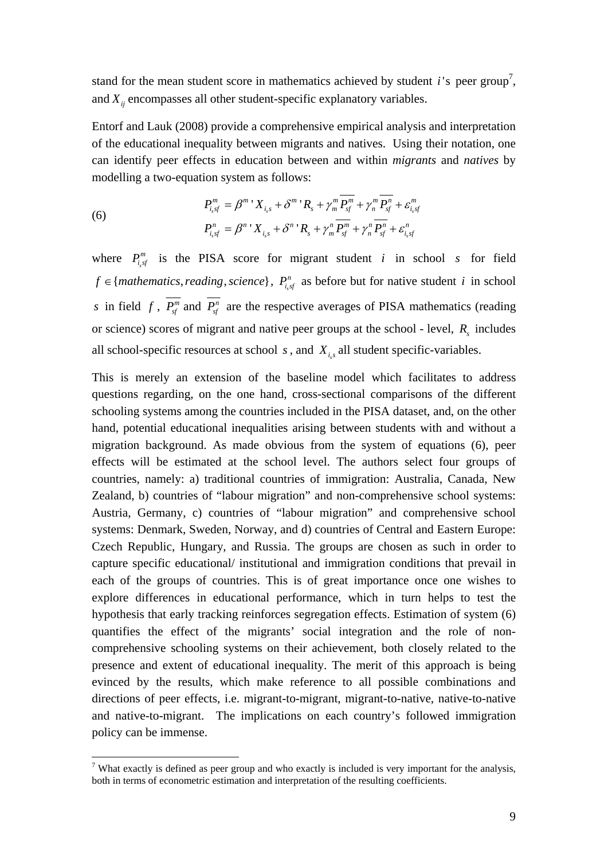stand for the mean student score in mathematics achieved by student  $i$ 's peer group<sup>7</sup>, and  $X_{ij}$  encompasses all other student-specific explanatory variables.

Entorf and Lauk (2008) provide a comprehensive empirical analysis and interpretation of the educational inequality between migrants and natives. Using their notation, one can identify peer effects in education between and within *migrants* and *natives* by modelling a two-equation system as follows:

(6)  

$$
P_{i_ssf}^m = \beta^m Y_{i_s} + \delta^m Y_{i_s} + \gamma_m^m P_{sf}^m + \gamma_m^m P_{sf}^n + \varepsilon_{i_ssf}^m
$$

$$
P_{i_ssf}^n = \beta^n Y_{i_ssf} + \delta^n Y_{i_s} + \gamma_m^n \overline{P_{sf}^m} + \gamma_n^n \overline{P_{sf}^n} + \varepsilon_{i_ssf}^n
$$

where  $P_{i,sf}^m$  is the PISA score for migrant student *i* in school *s* for field *f* ∈ {*mathematics, reading, science*},  $P_{i, sf}^{n}$  as before but for native student *i* in school *s* in field *f*,  $\overline{P_{sf}^{m}}$  and  $\overline{P_{sf}^{n}}$  are the respective averages of PISA mathematics (reading or science) scores of migrant and native peer groups at the school - level,  $R_s$  includes all school-specific resources at school  $s$ , and  $X_i$  all student specific-variables.

This is merely an extension of the baseline model which facilitates to address questions regarding, on the one hand, cross-sectional comparisons of the different schooling systems among the countries included in the PISA dataset, and, on the other hand, potential educational inequalities arising between students with and without a migration background. As made obvious from the system of equations (6), peer effects will be estimated at the school level. The authors select four groups of countries, namely: a) traditional countries of immigration: Australia, Canada, New Zealand, b) countries of "labour migration" and non-comprehensive school systems: Austria, Germany, c) countries of "labour migration" and comprehensive school systems: Denmark, Sweden, Norway, and d) countries of Central and Eastern Europe: Czech Republic, Hungary, and Russia. The groups are chosen as such in order to capture specific educational/ institutional and immigration conditions that prevail in each of the groups of countries. This is of great importance once one wishes to explore differences in educational performance, which in turn helps to test the hypothesis that early tracking reinforces segregation effects. Estimation of system (6) quantifies the effect of the migrants' social integration and the role of noncomprehensive schooling systems on their achievement, both closely related to the presence and extent of educational inequality. The merit of this approach is being evinced by the results, which make reference to all possible combinations and directions of peer effects, i.e. migrant-to-migrant, migrant-to-native, native-to-native and native-to-migrant. The implications on each country's followed immigration policy can be immense.

<sup>&</sup>lt;sup>7</sup> What exactly is defined as peer group and who exactly is included is very important for the analysis, both in terms of econometric estimation and interpretation of the resulting coefficients.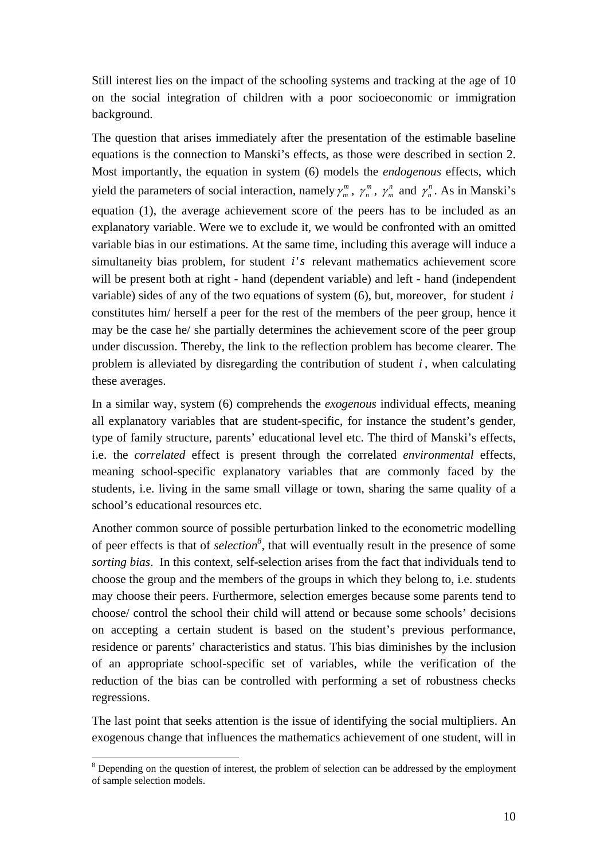Still interest lies on the impact of the schooling systems and tracking at the age of 10 on the social integration of children with a poor socioeconomic or immigration background.

The question that arises immediately after the presentation of the estimable baseline equations is the connection to Manski's effects, as those were described in section 2. Most importantly, the equation in system (6) models the *endogenous* effects, which yield the parameters of social interaction, namely  $\gamma_m^m$ ,  $\gamma_n^m$ ,  $\gamma_m^n$  and  $\gamma_n^n$ . As in Manski's equation (1), the average achievement score of the peers has to be included as an explanatory variable. Were we to exclude it, we would be confronted with an omitted variable bias in our estimations. At the same time, including this average will induce a simultaneity bias problem, for student *i's* relevant mathematics achievement score will be present both at right - hand (dependent variable) and left - hand (independent variable) sides of any of the two equations of system (6), but, moreover, for student *i* constitutes him/ herself a peer for the rest of the members of the peer group, hence it may be the case he/ she partially determines the achievement score of the peer group under discussion. Thereby, the link to the reflection problem has become clearer. The problem is alleviated by disregarding the contribution of student *i* , when calculating these averages.

In a similar way, system (6) comprehends the *exogenous* individual effects, meaning all explanatory variables that are student-specific, for instance the student's gender, type of family structure, parents' educational level etc. The third of Manski's effects, i.e. the *correlated* effect is present through the correlated *environmental* effects, meaning school-specific explanatory variables that are commonly faced by the students, i.e. living in the same small village or town, sharing the same quality of a school's educational resources etc.

Another common source of possible perturbation linked to the econometric modelling of peer effects is that of *selection*<sup>8</sup>, that will eventually result in the presence of some *sorting bias*. In this context, self-selection arises from the fact that individuals tend to choose the group and the members of the groups in which they belong to, i.e. students may choose their peers. Furthermore, selection emerges because some parents tend to choose/ control the school their child will attend or because some schools' decisions on accepting a certain student is based on the student's previous performance, residence or parents' characteristics and status. This bias diminishes by the inclusion of an appropriate school-specific set of variables, while the verification of the reduction of the bias can be controlled with performing a set of robustness checks regressions.

The last point that seeks attention is the issue of identifying the social multipliers. An exogenous change that influences the mathematics achievement of one student, will in

 $8$  Depending on the question of interest, the problem of selection can be addressed by the employment of sample selection models.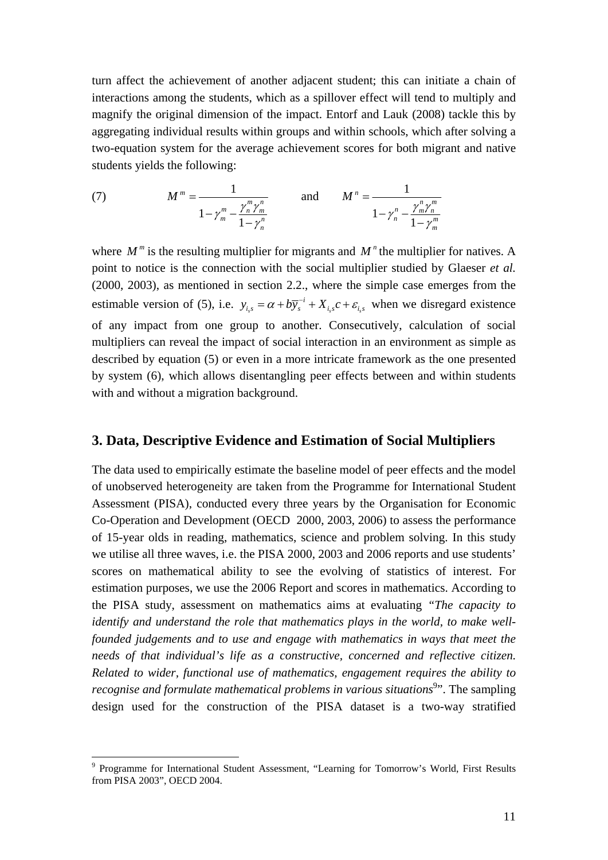turn affect the achievement of another adjacent student; this can initiate a chain of interactions among the students, which as a spillover effect will tend to multiply and magnify the original dimension of the impact. Entorf and Lauk (2008) tackle this by aggregating individual results within groups and within schools, which after solving a two-equation system for the average achievement scores for both migrant and native students yields the following:

(7) 
$$
M^{m} = \frac{1}{1 - \gamma_{m}^{m} - \frac{\gamma_{n}^{m} \gamma_{m}^{n}}{1 - \gamma_{n}^{n}}}
$$
 and 
$$
M^{n} = \frac{1}{1 - \gamma_{n}^{n} - \frac{\gamma_{m}^{n} \gamma_{m}^{m}}{1 - \gamma_{m}^{m}}}
$$

where  $M^m$  is the resulting multiplier for migrants and  $M^n$  the multiplier for natives. A point to notice is the connection with the social multiplier studied by Glaeser *et al.* (2000, 2003), as mentioned in section 2.2., where the simple case emerges from the estimable version of (5), i.e.  $y_{i,s} = \alpha + b \overline{y}_s^{-i} + X_{i,s} c + \varepsilon_{i,s}$  when we disregard existence of any impact from one group to another. Consecutively, calculation of social multipliers can reveal the impact of social interaction in an environment as simple as described by equation (5) or even in a more intricate framework as the one presented by system (6), which allows disentangling peer effects between and within students with and without a migration background.

### **3. Data, Descriptive Evidence and Estimation of Social Multipliers**

The data used to empirically estimate the baseline model of peer effects and the model of unobserved heterogeneity are taken from the Programme for International Student Assessment (PISA), conducted every three years by the Organisation for Economic Co-Operation and Development (OECD 2000, 2003, 2006) to assess the performance of 15-year olds in reading, mathematics, science and problem solving. In this study we utilise all three waves, i.e. the PISA 2000, 2003 and 2006 reports and use students' scores on mathematical ability to see the evolving of statistics of interest. For estimation purposes, we use the 2006 Report and scores in mathematics. According to the PISA study, assessment on mathematics aims at evaluating *"The capacity to identify and understand the role that mathematics plays in the world, to make wellfounded judgements and to use and engage with mathematics in ways that meet the needs of that individual's life as a constructive, concerned and reflective citizen. Related to wider, functional use of mathematics, engagement requires the ability to recognise and formulate mathematical problems in various situations*<sup>9</sup>". The sampling design used for the construction of the PISA dataset is a two-way stratified

<sup>&</sup>lt;sup>9</sup> Programme for International Student Assessment, "Learning for Tomorrow's World, First Results from PISA 2003", OECD 2004.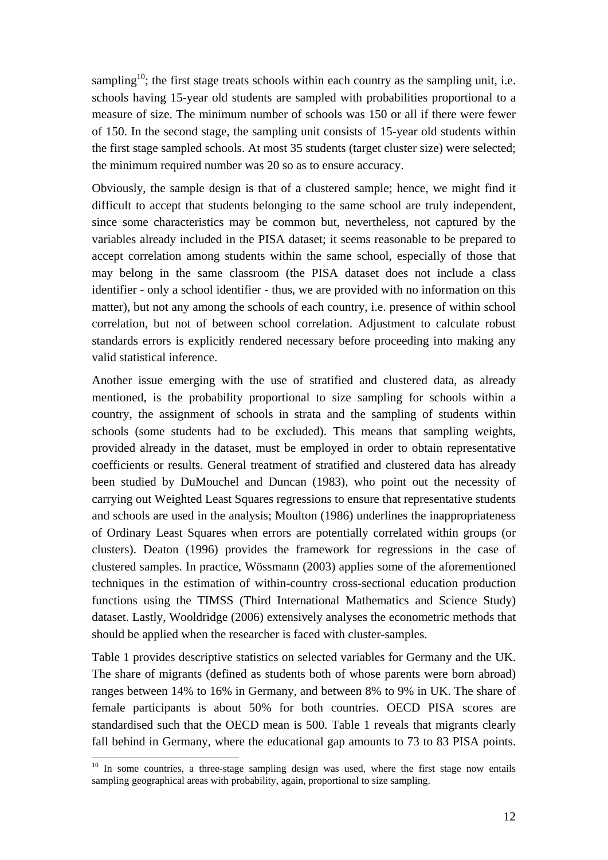sampling<sup>10</sup>; the first stage treats schools within each country as the sampling unit, i.e. schools having 15-year old students are sampled with probabilities proportional to a measure of size. The minimum number of schools was 150 or all if there were fewer of 150. In the second stage, the sampling unit consists of 15-year old students within the first stage sampled schools. At most 35 students (target cluster size) were selected; the minimum required number was 20 so as to ensure accuracy.

Obviously, the sample design is that of a clustered sample; hence, we might find it difficult to accept that students belonging to the same school are truly independent, since some characteristics may be common but, nevertheless, not captured by the variables already included in the PISA dataset; it seems reasonable to be prepared to accept correlation among students within the same school, especially of those that may belong in the same classroom (the PISA dataset does not include a class identifier - only a school identifier - thus, we are provided with no information on this matter), but not any among the schools of each country, i.e. presence of within school correlation, but not of between school correlation. Adjustment to calculate robust standards errors is explicitly rendered necessary before proceeding into making any valid statistical inference.

Another issue emerging with the use of stratified and clustered data, as already mentioned, is the probability proportional to size sampling for schools within a country, the assignment of schools in strata and the sampling of students within schools (some students had to be excluded). This means that sampling weights, provided already in the dataset, must be employed in order to obtain representative coefficients or results. General treatment of stratified and clustered data has already been studied by DuMouchel and Duncan (1983), who point out the necessity of carrying out Weighted Least Squares regressions to ensure that representative students and schools are used in the analysis; Moulton (1986) underlines the inappropriateness of Ordinary Least Squares when errors are potentially correlated within groups (or clusters). Deaton (1996) provides the framework for regressions in the case of clustered samples. In practice, Wössmann (2003) applies some of the aforementioned techniques in the estimation of within-country cross-sectional education production functions using the TIMSS (Third International Mathematics and Science Study) dataset. Lastly, Wooldridge (2006) extensively analyses the econometric methods that should be applied when the researcher is faced with cluster-samples.

Table 1 provides descriptive statistics on selected variables for Germany and the UK. The share of migrants (defined as students both of whose parents were born abroad) ranges between 14% to 16% in Germany, and between 8% to 9% in UK. The share of female participants is about 50% for both countries. OECD PISA scores are standardised such that the OECD mean is 500. Table 1 reveals that migrants clearly fall behind in Germany, where the educational gap amounts to 73 to 83 PISA points.

 $10$  In some countries, a three-stage sampling design was used, where the first stage now entails sampling geographical areas with probability, again, proportional to size sampling.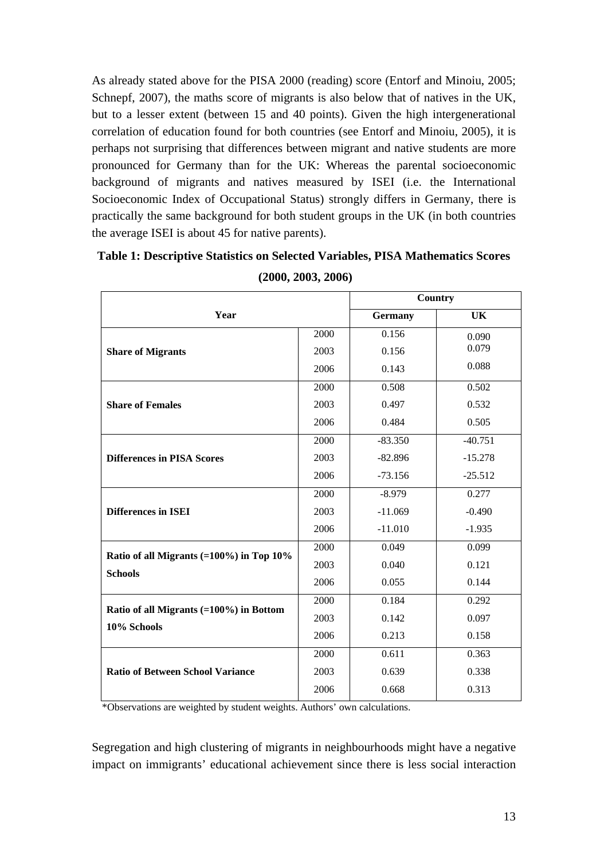As already stated above for the PISA 2000 (reading) score (Entorf and Minoiu, 2005; Schnepf, 2007), the maths score of migrants is also below that of natives in the UK, but to a lesser extent (between 15 and 40 points). Given the high intergenerational correlation of education found for both countries (see Entorf and Minoiu, 2005), it is perhaps not surprising that differences between migrant and native students are more pronounced for Germany than for the UK: Whereas the parental socioeconomic background of migrants and natives measured by ISEI (i.e. the International Socioeconomic Index of Occupational Status) strongly differs in Germany, there is practically the same background for both student groups in the UK (in both countries the average ISEI is about 45 for native parents).

|                                                           |      | Country        |           |  |
|-----------------------------------------------------------|------|----------------|-----------|--|
| Year                                                      |      | <b>Germany</b> | <b>UK</b> |  |
|                                                           | 2000 | 0.156          | 0.090     |  |
| <b>Share of Migrants</b>                                  | 2003 | 0.156          | 0.079     |  |
|                                                           | 2006 | 0.143          | 0.088     |  |
|                                                           | 2000 | 0.508          | 0.502     |  |
| <b>Share of Females</b>                                   | 2003 | 0.497          | 0.532     |  |
|                                                           | 2006 | 0.484          | 0.505     |  |
|                                                           | 2000 | $-83.350$      | $-40.751$ |  |
| <b>Differences in PISA Scores</b>                         | 2003 | $-82.896$      | $-15.278$ |  |
|                                                           | 2006 | $-73.156$      | $-25.512$ |  |
|                                                           | 2000 | $-8.979$       | 0.277     |  |
| <b>Differences in ISEI</b>                                | 2003 | $-11.069$      | $-0.490$  |  |
|                                                           | 2006 | $-11.010$      | $-1.935$  |  |
| Ratio of all Migrants $(=100\%)$ in Top 10%               | 2000 | 0.049          | 0.099     |  |
| <b>Schools</b>                                            | 2003 | 0.040          | 0.121     |  |
|                                                           | 2006 | 0.055          | 0.144     |  |
|                                                           | 2000 | 0.184          | 0.292     |  |
| Ratio of all Migrants $(=100\%)$ in Bottom<br>10% Schools | 2003 | 0.142          | 0.097     |  |
|                                                           | 2006 | 0.213          | 0.158     |  |
|                                                           | 2000 | 0.611          | 0.363     |  |
| <b>Ratio of Between School Variance</b>                   | 2003 | 0.639          | 0.338     |  |
|                                                           | 2006 | 0.668          | 0.313     |  |

| Table 1: Descriptive Statistics on Selected Variables, PISA Mathematics Scores |
|--------------------------------------------------------------------------------|
| (2000, 2003, 2006)                                                             |

\*Observations are weighted by student weights. Authors' own calculations.

Segregation and high clustering of migrants in neighbourhoods might have a negative impact on immigrants' educational achievement since there is less social interaction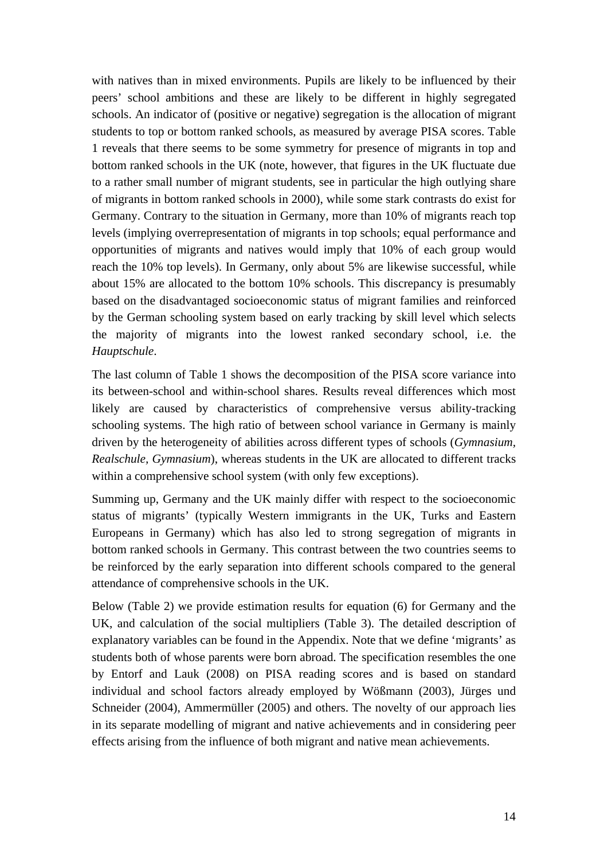with natives than in mixed environments. Pupils are likely to be influenced by their peers' school ambitions and these are likely to be different in highly segregated schools. An indicator of (positive or negative) segregation is the allocation of migrant students to top or bottom ranked schools, as measured by average PISA scores. Table 1 reveals that there seems to be some symmetry for presence of migrants in top and bottom ranked schools in the UK (note, however, that figures in the UK fluctuate due to a rather small number of migrant students, see in particular the high outlying share of migrants in bottom ranked schools in 2000), while some stark contrasts do exist for Germany. Contrary to the situation in Germany, more than 10% of migrants reach top levels (implying overrepresentation of migrants in top schools; equal performance and opportunities of migrants and natives would imply that 10% of each group would reach the 10% top levels). In Germany, only about 5% are likewise successful, while about 15% are allocated to the bottom 10% schools. This discrepancy is presumably based on the disadvantaged socioeconomic status of migrant families and reinforced by the German schooling system based on early tracking by skill level which selects the majority of migrants into the lowest ranked secondary school, i.e. the *Hauptschule*.

The last column of Table 1 shows the decomposition of the PISA score variance into its between-school and within-school shares. Results reveal differences which most likely are caused by characteristics of comprehensive versus ability-tracking schooling systems. The high ratio of between school variance in Germany is mainly driven by the heterogeneity of abilities across different types of schools (*Gymnasium, Realschule, Gymnasium*), whereas students in the UK are allocated to different tracks within a comprehensive school system (with only few exceptions).

Summing up, Germany and the UK mainly differ with respect to the socioeconomic status of migrants' (typically Western immigrants in the UK, Turks and Eastern Europeans in Germany) which has also led to strong segregation of migrants in bottom ranked schools in Germany. This contrast between the two countries seems to be reinforced by the early separation into different schools compared to the general attendance of comprehensive schools in the UK.

Below (Table 2) we provide estimation results for equation (6) for Germany and the UK, and calculation of the social multipliers (Table 3). The detailed description of explanatory variables can be found in the Appendix. Note that we define 'migrants' as students both of whose parents were born abroad. The specification resembles the one by Entorf and Lauk (2008) on PISA reading scores and is based on standard individual and school factors already employed by Wößmann (2003), Jürges und Schneider (2004), Ammermüller (2005) and others. The novelty of our approach lies in its separate modelling of migrant and native achievements and in considering peer effects arising from the influence of both migrant and native mean achievements.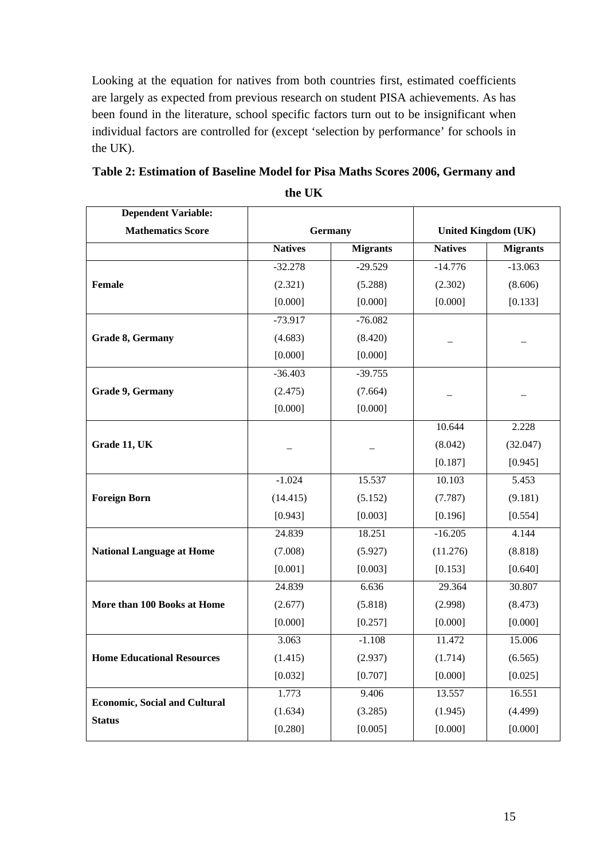Looking at the equation for natives from both countries first, estimated coefficients are largely as expected from previous research on student PISA achievements. As has been found in the literature, school specific factors turn out to be insignificant when individual factors are controlled for (except 'selection by performance' for schools in the UK).

| <b>Dependent Variable:</b>           |                |                 |                |                            |
|--------------------------------------|----------------|-----------------|----------------|----------------------------|
| <b>Mathematics Score</b>             |                | <b>Germany</b>  |                | <b>United Kingdom (UK)</b> |
|                                      | <b>Natives</b> | <b>Migrants</b> | <b>Natives</b> | <b>Migrants</b>            |
|                                      | $-32.278$      | $-29.529$       | $-14.776$      | $-13.063$                  |
| Female                               | (2.321)        | (5.288)         | (2.302)        | (8.606)                    |
|                                      | [0.000]        | [0.000]         | [0.000]        | [0.133]                    |
|                                      | $-73.917$      | $-76.082$       |                |                            |
| Grade 8, Germany                     | (4.683)        | (8.420)         |                |                            |
|                                      | [0.000]        | [0.000]         |                |                            |
|                                      | $-36.403$      | $-39.755$       |                |                            |
| Grade 9, Germany                     | (2.475)        | (7.664)         |                |                            |
|                                      | [0.000]        | [0.000]         |                |                            |
|                                      |                |                 | 10.644         | 2.228                      |
| Grade 11, UK                         |                |                 | (8.042)        | (32.047)                   |
|                                      |                |                 | [0.187]        | [0.945]                    |
|                                      | $-1.024$       | 15.537          | 10.103         | 5.453                      |
| <b>Foreign Born</b>                  | (14.415)       | (5.152)         | (7.787)        | (9.181)                    |
|                                      | [0.943]        | [0.003]         | [0.196]        | [0.554]                    |
|                                      | 24.839         | 18.251          | $-16.205$      | 4.144                      |
| <b>National Language at Home</b>     | (7.008)        | (5.927)         | (11.276)       | (8.818)                    |
|                                      | [0.001]        | [0.003]         | [0.153]        | [0.640]                    |
|                                      | 24.839         | 6.636           | 29.364         | 30.807                     |
| More than 100 Books at Home          | (2.677)        | (5.818)         | (2.998)        | (8.473)                    |
|                                      | [0.000]        | [0.257]         | [0.000]        | [0.000]                    |
|                                      | 3.063          | $-1.108$        | 11.472         | 15.006                     |
| <b>Home Educational Resources</b>    | (1.415)        | (2.937)         | (1.714)        | (6.565)                    |
|                                      | [0.032]        | [0.707]         | [0.000]        | [0.025]                    |
|                                      | 1.773          | 9.406           | 13.557         | 16.551                     |
| <b>Economic, Social and Cultural</b> | (1.634)        | (3.285)         | (1.945)        | (4.499)                    |
| <b>Status</b>                        | [0.280]        | [0.005]         | [0.000]        | [0.000]                    |

### **Table 2: Estimation of Baseline Model for Pisa Maths Scores 2006, Germany and the UK**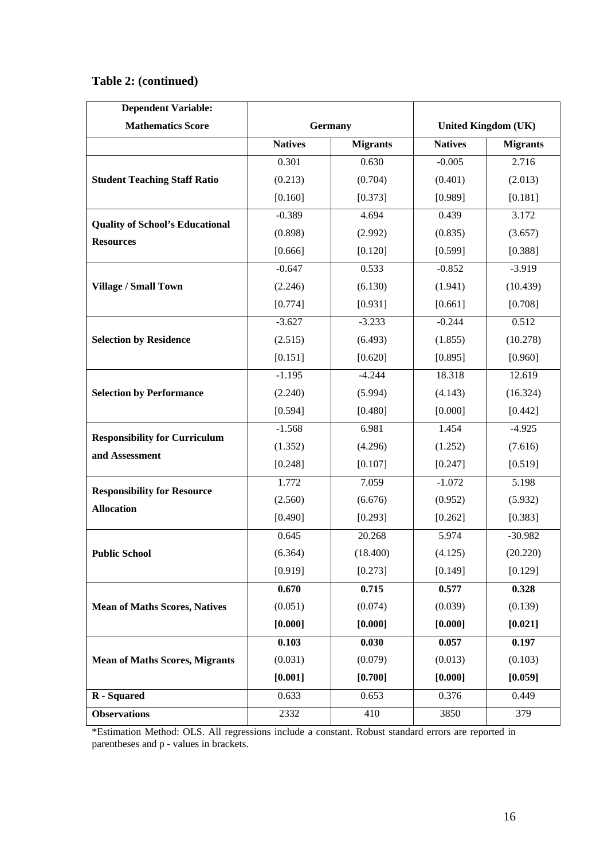### **Table 2: (continued)**

| <b>Dependent Variable:</b>             |                |                 |                |                            |
|----------------------------------------|----------------|-----------------|----------------|----------------------------|
| <b>Mathematics Score</b>               |                | <b>Germany</b>  |                | <b>United Kingdom (UK)</b> |
|                                        | <b>Natives</b> | <b>Migrants</b> | <b>Natives</b> | <b>Migrants</b>            |
|                                        | 0.301          | 0.630           | $-0.005$       | 2.716                      |
| <b>Student Teaching Staff Ratio</b>    | (0.213)        | (0.704)         | (0.401)        | (2.013)                    |
|                                        | [0.160]        | [0.373]         | [0.989]        | [0.181]                    |
|                                        | $-0.389$       | 4.694           | 0.439          | 3.172                      |
| <b>Quality of School's Educational</b> | (0.898)        | (2.992)         | (0.835)        | (3.657)                    |
| <b>Resources</b>                       | [0.666]        | [0.120]         | [0.599]        | [0.388]                    |
|                                        | $-0.647$       | 0.533           | $-0.852$       | $-3.919$                   |
| <b>Village / Small Town</b>            | (2.246)        | (6.130)         | (1.941)        | (10.439)                   |
|                                        | [0.774]        | [0.931]         | [0.661]        | [0.708]                    |
|                                        | $-3.627$       | $-3.233$        | $-0.244$       | 0.512                      |
| <b>Selection by Residence</b>          | (2.515)        | (6.493)         | (1.855)        | (10.278)                   |
|                                        | [0.151]        | [0.620]         | [0.895]        | [0.960]                    |
|                                        | $-1.195$       | $-4.244$        | 18.318         | 12.619                     |
| <b>Selection by Performance</b>        | (2.240)        | (5.994)         | (4.143)        | (16.324)                   |
|                                        | [0.594]        | [0.480]         | [0.000]        | [0.442]                    |
|                                        | $-1.568$       | 6.981           | 1.454          | $-4.925$                   |
| <b>Responsibility for Curriculum</b>   | (1.352)        | (4.296)         | (1.252)        | (7.616)                    |
| and Assessment                         | [0.248]        | [0.107]         | [0.247]        | [0.519]                    |
|                                        | 1.772          | 7.059           | $-1.072$       | 5.198                      |
| <b>Responsibility for Resource</b>     | (2.560)        | (6.676)         | (0.952)        | (5.932)                    |
| <b>Allocation</b>                      | [0.490]        | [0.293]         | [0.262]        | [0.383]                    |
|                                        | 0.645          | 20.268          | 5.974          | $-30.982$                  |
| <b>Public School</b>                   | (6.364)        | (18.400)        | (4.125)        | (20.220)                   |
|                                        | [0.919]        | [0.273]         | [0.149]        | [0.129]                    |
|                                        | 0.670          | 0.715           | 0.577          | 0.328                      |
| <b>Mean of Maths Scores, Natives</b>   | (0.051)        | (0.074)         | (0.039)        | (0.139)                    |
|                                        | [0.000]        | [0.000]         | [0.000]        | [0.021]                    |
|                                        | 0.103          | 0.030           | 0.057          | 0.197                      |
| <b>Mean of Maths Scores, Migrants</b>  | (0.031)        | (0.079)         | (0.013)        | (0.103)                    |
|                                        | [0.001]        | [0.700]         | [0.000]        | [0.059]                    |
| R - Squared                            | 0.633          | 0.653           | 0.376          | 0.449                      |
| <b>Observations</b>                    | 2332           | 410             | 3850           | 379                        |

\*Estimation Method: OLS. All regressions include a constant. Robust standard errors are reported in parentheses and p - values in brackets.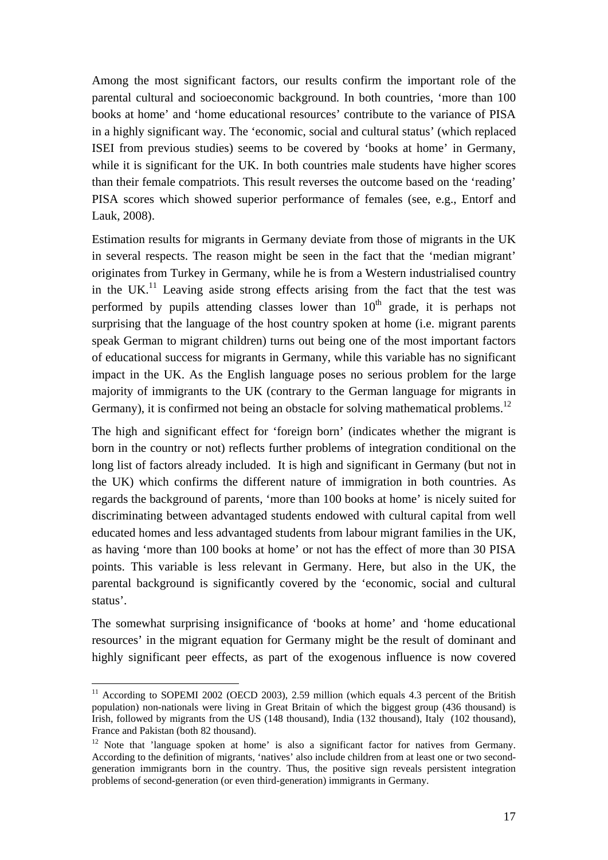Among the most significant factors, our results confirm the important role of the parental cultural and socioeconomic background. In both countries, 'more than 100 books at home' and 'home educational resources' contribute to the variance of PISA in a highly significant way. The 'economic, social and cultural status' (which replaced ISEI from previous studies) seems to be covered by 'books at home' in Germany, while it is significant for the UK. In both countries male students have higher scores than their female compatriots. This result reverses the outcome based on the 'reading' PISA scores which showed superior performance of females (see, e.g., Entorf and Lauk, 2008).

Estimation results for migrants in Germany deviate from those of migrants in the UK in several respects. The reason might be seen in the fact that the 'median migrant' originates from Turkey in Germany, while he is from a Western industrialised country in the UK.<sup>11</sup> Leaving aside strong effects arising from the fact that the test was performed by pupils attending classes lower than  $10<sup>th</sup>$  grade, it is perhaps not surprising that the language of the host country spoken at home (i.e. migrant parents speak German to migrant children) turns out being one of the most important factors of educational success for migrants in Germany, while this variable has no significant impact in the UK. As the English language poses no serious problem for the large majority of immigrants to the UK (contrary to the German language for migrants in Germany), it is confirmed not being an obstacle for solving mathematical problems.<sup>12</sup>

The high and significant effect for 'foreign born' (indicates whether the migrant is born in the country or not) reflects further problems of integration conditional on the long list of factors already included. It is high and significant in Germany (but not in the UK) which confirms the different nature of immigration in both countries. As regards the background of parents, 'more than 100 books at home' is nicely suited for discriminating between advantaged students endowed with cultural capital from well educated homes and less advantaged students from labour migrant families in the UK, as having 'more than 100 books at home' or not has the effect of more than 30 PISA points. This variable is less relevant in Germany. Here, but also in the UK, the parental background is significantly covered by the 'economic, social and cultural status'.

The somewhat surprising insignificance of 'books at home' and 'home educational resources' in the migrant equation for Germany might be the result of dominant and highly significant peer effects, as part of the exogenous influence is now covered

 $11$  According to SOPEMI 2002 (OECD 2003), 2.59 million (which equals 4.3 percent of the British population) non-nationals were living in Great Britain of which the biggest group (436 thousand) is Irish, followed by migrants from the US (148 thousand), India (132 thousand), Italy (102 thousand), France and Pakistan (both 82 thousand).

<sup>&</sup>lt;sup>12</sup> Note that 'language spoken at home' is also a significant factor for natives from Germany. According to the definition of migrants, 'natives' also include children from at least one or two secondgeneration immigrants born in the country. Thus, the positive sign reveals persistent integration problems of second-generation (or even third-generation) immigrants in Germany.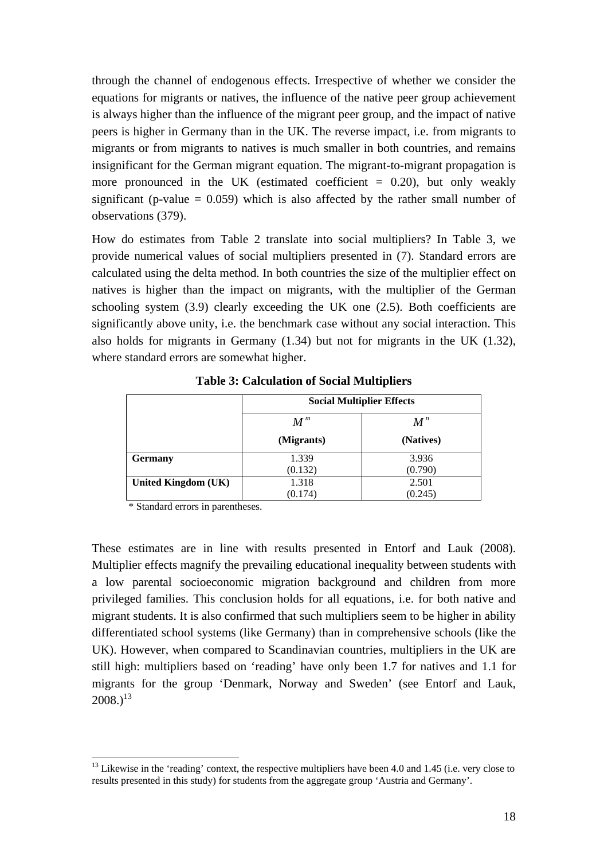through the channel of endogenous effects. Irrespective of whether we consider the equations for migrants or natives, the influence of the native peer group achievement is always higher than the influence of the migrant peer group, and the impact of native peers is higher in Germany than in the UK. The reverse impact, i.e. from migrants to migrants or from migrants to natives is much smaller in both countries, and remains insignificant for the German migrant equation. The migrant-to-migrant propagation is more pronounced in the UK (estimated coefficient  $= 0.20$ ), but only weakly significant (p-value  $= 0.059$ ) which is also affected by the rather small number of observations (379).

How do estimates from Table 2 translate into social multipliers? In Table 3, we provide numerical values of social multipliers presented in (7). Standard errors are calculated using the delta method. In both countries the size of the multiplier effect on natives is higher than the impact on migrants, with the multiplier of the German schooling system (3.9) clearly exceeding the UK one (2.5). Both coefficients are significantly above unity, i.e. the benchmark case without any social interaction. This also holds for migrants in Germany (1.34) but not for migrants in the UK (1.32), where standard errors are somewhat higher.

|                     | <b>Social Multiplier Effects</b> |           |  |  |
|---------------------|----------------------------------|-----------|--|--|
|                     | $M^{\,m}$<br>$\pmb{M}^{\,n}$     |           |  |  |
|                     | (Migrants)                       | (Natives) |  |  |
| <b>Germany</b>      | 1.339                            | 3.936     |  |  |
|                     | (0.132)                          | (0.790)   |  |  |
| United Kingdom (UK) | 1.318                            | 2.501     |  |  |
|                     | (0.174)                          | (0.245)   |  |  |

**Table 3: Calculation of Social Multipliers** 

\* Standard errors in parentheses.

<u>.</u>

These estimates are in line with results presented in Entorf and Lauk (2008). Multiplier effects magnify the prevailing educational inequality between students with a low parental socioeconomic migration background and children from more privileged families. This conclusion holds for all equations, i.e. for both native and migrant students. It is also confirmed that such multipliers seem to be higher in ability differentiated school systems (like Germany) than in comprehensive schools (like the UK). However, when compared to Scandinavian countries, multipliers in the UK are still high: multipliers based on 'reading' have only been 1.7 for natives and 1.1 for migrants for the group 'Denmark, Norway and Sweden' (see Entorf and Lauk,  $2008.<sup>13</sup>$ 

 $13$  Likewise in the 'reading' context, the respective multipliers have been 4.0 and 1.45 (i.e. very close to results presented in this study) for students from the aggregate group 'Austria and Germany'.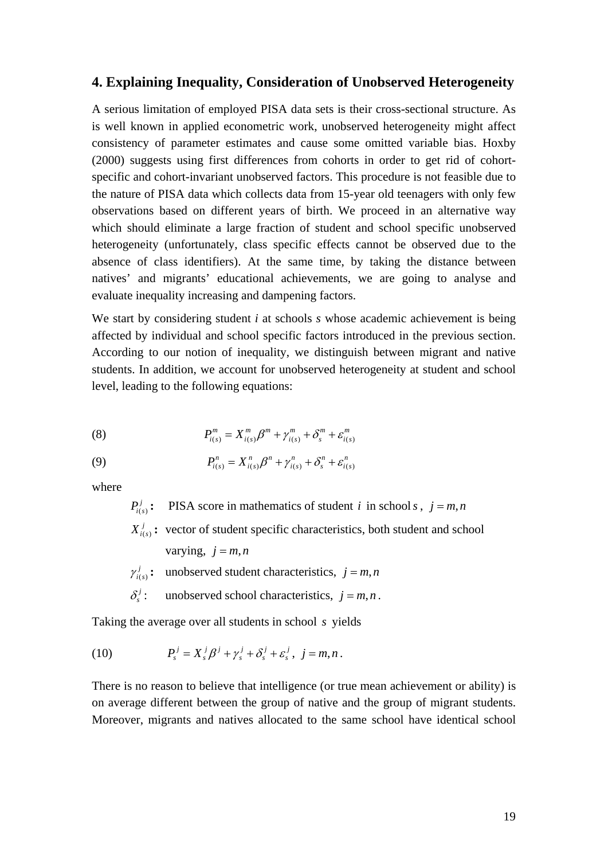### **4. Explaining Inequality, Consideration of Unobserved Heterogeneity**

A serious limitation of employed PISA data sets is their cross-sectional structure. As is well known in applied econometric work, unobserved heterogeneity might affect consistency of parameter estimates and cause some omitted variable bias. Hoxby (2000) suggests using first differences from cohorts in order to get rid of cohortspecific and cohort-invariant unobserved factors. This procedure is not feasible due to the nature of PISA data which collects data from 15-year old teenagers with only few observations based on different years of birth. We proceed in an alternative way which should eliminate a large fraction of student and school specific unobserved heterogeneity (unfortunately, class specific effects cannot be observed due to the absence of class identifiers). At the same time, by taking the distance between natives' and migrants' educational achievements, we are going to analyse and evaluate inequality increasing and dampening factors.

We start by considering student *i* at schools *s* whose academic achievement is being affected by individual and school specific factors introduced in the previous section. According to our notion of inequality, we distinguish between migrant and native students. In addition, we account for unobserved heterogeneity at student and school level, leading to the following equations:

(8) 
$$
P_{i(s)}^m = X_{i(s)}^m \beta^m + \gamma_{i(s)}^m + \delta_s^m + \varepsilon_{i(s)}^m
$$

(9) 
$$
P_{i(s)}^n = X_{i(s)}^n \beta^n + \gamma_{i(s)}^n + \delta_s^n + \varepsilon_{i(s)}^n
$$

where

 $P_{i(s)}^j$ : **PISA** score in mathematics of student *i* in school *s*,  $j = m, n$ 

 $X_{i(s)}^j$ : vector of student specific characteristics, both student and school

varying, 
$$
j = m, n
$$

 $(s)$  $\gamma_{i(s)}^j$ : unobserved student characteristics,  $j = m, n$ 

 $\delta_i^j$ : unobserved school characteristics,  $j = m, n$ .

Taking the average over all students in school *s* yields

(10) 
$$
P_s^j = X_s^j \beta^j + \gamma_s^j + \delta_s^j + \varepsilon_s^j, \ j = m, n.
$$

There is no reason to believe that intelligence (or true mean achievement or ability) is on average different between the group of native and the group of migrant students. Moreover, migrants and natives allocated to the same school have identical school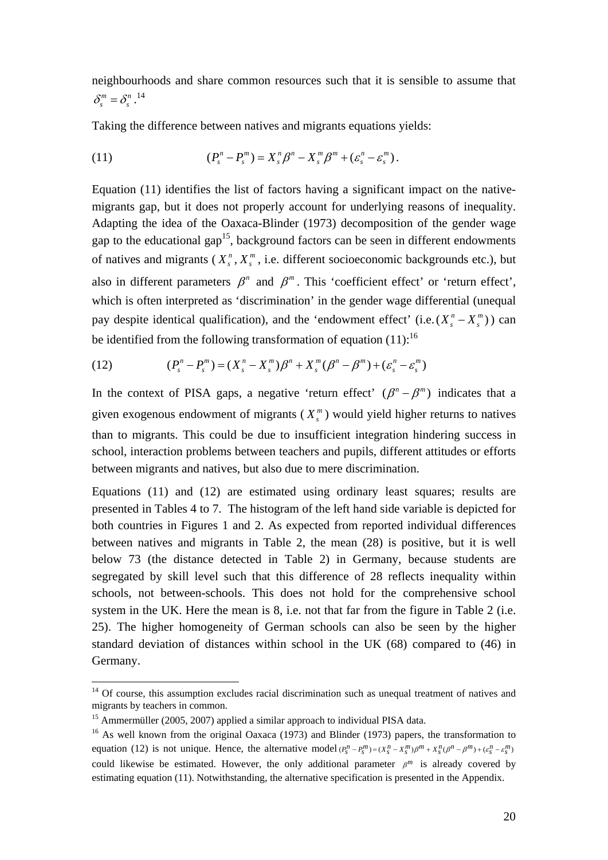neighbourhoods and share common resources such that it is sensible to assume that  $\delta_s^m = \delta_s^{n}$ .<sup>14</sup>

Taking the difference between natives and migrants equations yields:

(11) 
$$
(P_s^n - P_s^m) = X_s^n \beta^n - X_s^m \beta^m + (\varepsilon_s^n - \varepsilon_s^m).
$$

Equation (11) identifies the list of factors having a significant impact on the nativemigrants gap, but it does not properly account for underlying reasons of inequality. Adapting the idea of the Oaxaca-Blinder (1973) decomposition of the gender wage gap to the educational gap<sup>15</sup>, background factors can be seen in different endowments of natives and migrants  $(X_{s}^{n}, X_{s}^{m})$ , i.e. different socioeconomic backgrounds etc.), but also in different parameters  $\beta^n$  and  $\beta^m$ . This 'coefficient effect' or 'return effect', which is often interpreted as 'discrimination' in the gender wage differential (unequal pay despite identical qualification), and the 'endowment effect' (i.e.( $X_s^n - X_s^m$ )) can be identified from the following transformation of equation  $(11)$ :<sup>16</sup>

(12) 
$$
(P_s^n - P_s^m) = (X_s^n - X_s^m)\beta^n + X_s^m(\beta^n - \beta^m) + (\varepsilon_s^n - \varepsilon_s^m)
$$

In the context of PISA gaps, a negative 'return effect'  $(\beta^n - \beta^m)$  indicates that a given exogenous endowment of migrants  $(X_s^m)$  would yield higher returns to natives than to migrants. This could be due to insufficient integration hindering success in school, interaction problems between teachers and pupils, different attitudes or efforts between migrants and natives, but also due to mere discrimination.

Equations (11) and (12) are estimated using ordinary least squares; results are presented in Tables 4 to 7. The histogram of the left hand side variable is depicted for both countries in Figures 1 and 2. As expected from reported individual differences between natives and migrants in Table 2, the mean (28) is positive, but it is well below 73 (the distance detected in Table 2) in Germany, because students are segregated by skill level such that this difference of 28 reflects inequality within schools, not between-schools. This does not hold for the comprehensive school system in the UK. Here the mean is 8, i.e. not that far from the figure in Table 2 (i.e. 25). The higher homogeneity of German schools can also be seen by the higher standard deviation of distances within school in the UK (68) compared to (46) in Germany.

1

 $14$  Of course, this assumption excludes racial discrimination such as unequal treatment of natives and migrants by teachers in common.

<sup>&</sup>lt;sup>15</sup> Ammermüller (2005, 2007) applied a similar approach to individual PISA data.

<sup>&</sup>lt;sup>16</sup> As well known from the original Oaxaca (1973) and Blinder (1973) papers, the transformation to equation (12) is not unique. Hence, the alternative model  $(P_n^n - P_n^m) = (X_n^n - X_n^m)\beta^m + X_n^n(\beta^n - \beta^m) + (e_n^n - \varepsilon^n)^n$ could likewise be estimated. However, the only additional parameter  $\beta^m$  is already covered by estimating equation (11). Notwithstanding, the alternative specification is presented in the Appendix.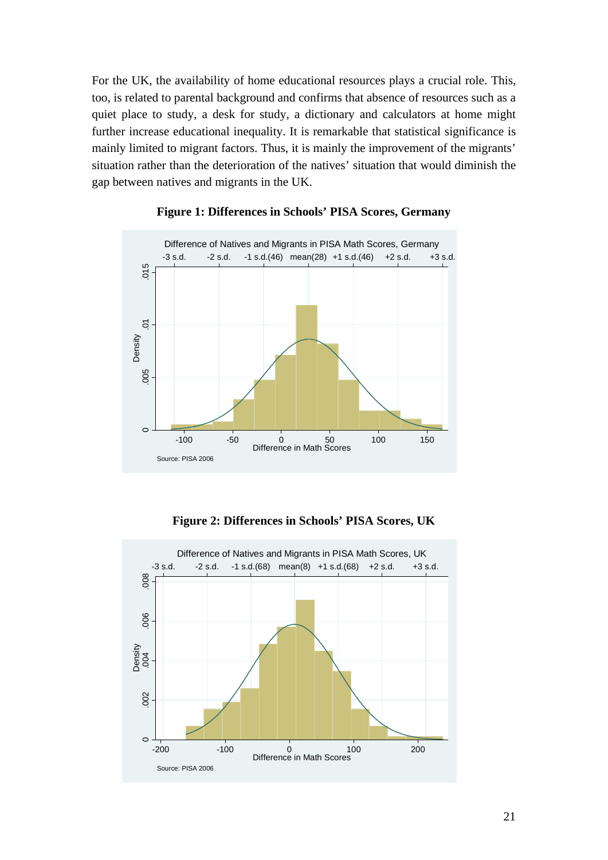For the UK, the availability of home educational resources plays a crucial role. This, too, is related to parental background and confirms that absence of resources such as a quiet place to study, a desk for study, a dictionary and calculators at home might further increase educational inequality. It is remarkable that statistical significance is mainly limited to migrant factors. Thus, it is mainly the improvement of the migrants' situation rather than the deterioration of the natives' situation that would diminish the gap between natives and migrants in the UK.



### **Figure 1: Differences in Schools' PISA Scores, Germany**

**Figure 2: Differences in Schools' PISA Scores, UK** 

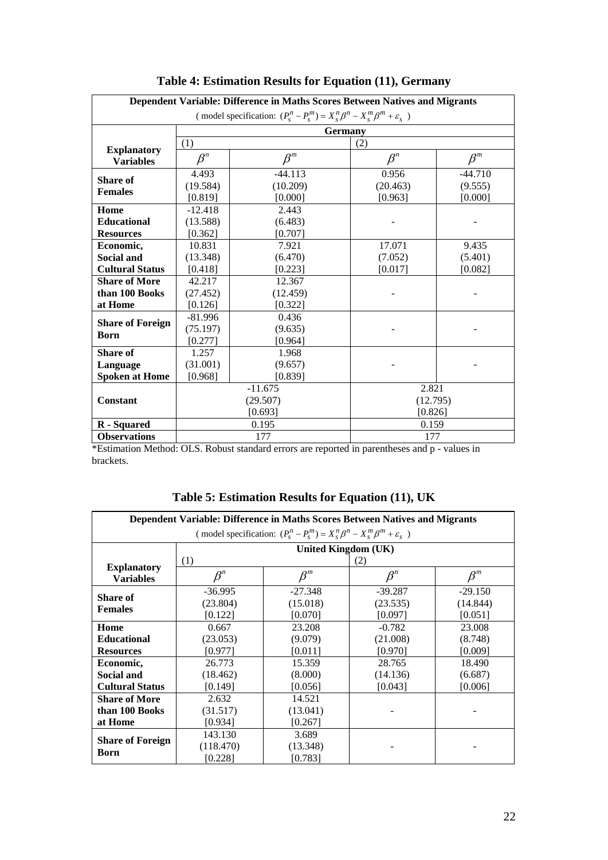| Dependent Variable: Difference in Maths Scores Between Natives and Migrants               |             |                |             |           |  |
|-------------------------------------------------------------------------------------------|-------------|----------------|-------------|-----------|--|
| (model specification: $(P_s^n - P_s^m) = X_s^n \beta^n - X_s^m \beta^m + \varepsilon_s$ ) |             |                |             |           |  |
|                                                                                           |             | <b>Germany</b> |             |           |  |
|                                                                                           | (1)         |                | (2)         |           |  |
| <b>Explanatory</b><br><b>Variables</b>                                                    | $\beta^{n}$ | $\beta^m$      | $\beta^{n}$ | $\beta^m$ |  |
| <b>Share of</b>                                                                           | 4.493       | $-44.113$      | 0.956       | $-44.710$ |  |
| <b>Females</b>                                                                            | (19.584)    | (10.209)       | (20.463)    | (9.555)   |  |
|                                                                                           | [0.819]     | [0.000]        | [0.963]     | [0.000]   |  |
| Home                                                                                      | $-12.418$   | 2.443          |             |           |  |
| <b>Educational</b>                                                                        | (13.588)    | (6.483)        |             |           |  |
| <b>Resources</b>                                                                          | [0.362]     | [0.707]        |             |           |  |
| Economic,                                                                                 | 10.831      | 7.921          | 17.071      | 9.435     |  |
| <b>Social and</b>                                                                         | (13.348)    | (6.470)        | (7.052)     | (5.401)   |  |
| <b>Cultural Status</b>                                                                    | [0.418]     | [0.223]        | [0.017]     | [0.082]   |  |
| <b>Share of More</b>                                                                      | 42.217      | 12.367         |             |           |  |
| than 100 Books                                                                            | (27.452)    | (12.459)       |             |           |  |
| at Home                                                                                   | [0.126]     | [0.322]        |             |           |  |
| <b>Share of Foreign</b>                                                                   | $-81.996$   | 0.436          |             |           |  |
| Born                                                                                      | (75.197)    | (9.635)        |             |           |  |
|                                                                                           | [0.277]     | [0.964]        |             |           |  |
| <b>Share of</b>                                                                           | 1.257       | 1.968          |             |           |  |
| Language                                                                                  | (31.001)    | (9.657)        |             |           |  |
| <b>Spoken at Home</b>                                                                     | [0.968]     | [0.839]        |             |           |  |
|                                                                                           |             | $-11.675$      | 2.821       |           |  |
| <b>Constant</b>                                                                           |             | (29.507)       | (12.795)    |           |  |
|                                                                                           |             | [0.693]        | [0.826]     |           |  |
| R - Squared                                                                               |             | 0.195          | 0.159       |           |  |
| <b>Observations</b>                                                                       |             | 177            | 177         |           |  |

### **Table 4: Estimation Results for Equation (11), Germany**

\*Estimation Method: OLS. Robust standard errors are reported in parentheses and p - values in brackets.

| Dependent Variable: Difference in Maths Scores Between Natives and Migrants |           |                                                                                           |           |                 |
|-----------------------------------------------------------------------------|-----------|-------------------------------------------------------------------------------------------|-----------|-----------------|
|                                                                             |           | (model specification: $(P_s^n - P_s^m) = X_s^n \beta^n - X_s^m \beta^m + \varepsilon_s$ ) |           |                 |
|                                                                             |           | United Kingdom (UK)                                                                       |           |                 |
|                                                                             | (1)       |                                                                                           | (2)       |                 |
| <b>Explanatory</b><br><b>Variables</b>                                      | $\beta^n$ | $\beta^m$                                                                                 | $\beta^n$ | $\mathcal{B}^m$ |
| Share of                                                                    | $-36.995$ | $-27.348$                                                                                 | $-39.287$ | $-29.150$       |
| <b>Females</b>                                                              | (23.804)  | (15.018)                                                                                  | (23.535)  | (14.844)        |
|                                                                             | [0.122]   | [0.070]                                                                                   | [0.097]   | [0.051]         |
| Home                                                                        | 0.667     | 23.208                                                                                    | $-0.782$  | 23,008          |
| <b>Educational</b>                                                          | (23.053)  | (9.079)                                                                                   | (21.008)  | (8.748)         |
| <b>Resources</b>                                                            | [0.977]   | [0.011]                                                                                   | [0.970]   | [0.009]         |
| Economic,                                                                   | 26.773    | 15.359                                                                                    | 28.765    | 18.490          |
| <b>Social and</b>                                                           | (18.462)  | (8.000)                                                                                   | (14.136)  | (6.687)         |
| <b>Cultural Status</b>                                                      | [0.149]   | [0.056]                                                                                   | [0.043]   | [0.006]         |
| <b>Share of More</b>                                                        | 2.632     | 14.521                                                                                    |           |                 |
| than 100 Books                                                              | (31.517)  | (13.041)                                                                                  |           |                 |
| at Home                                                                     | [0.934]   | [0.267]                                                                                   |           |                 |
|                                                                             | 143.130   | 3.689                                                                                     |           |                 |
| <b>Share of Foreign</b>                                                     | (118.470) | (13.348)                                                                                  |           |                 |
| Born                                                                        | [0.228]   | [0.783]                                                                                   |           |                 |

**Table 5: Estimation Results for Equation (11), UK**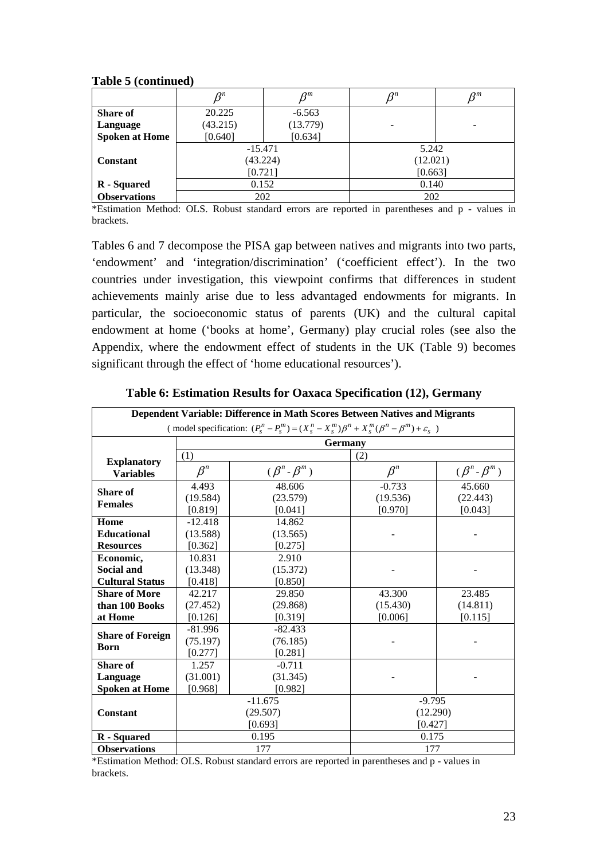**Table 5 (continued)** 

|                       | $\boldsymbol{\varOmega}^n$ | $\mathcal{R}^m$ | O <sup>n</sup> | $\rho^m$ |
|-----------------------|----------------------------|-----------------|----------------|----------|
| <b>Share of</b>       | 20.225                     | $-6.563$        |                |          |
| Language              | (43.215)                   | (13.779)        |                | ۰        |
| <b>Spoken at Home</b> | [0.640]                    | [0.634]         |                |          |
|                       | $-15.471$                  |                 | 5.242          |          |
| <b>Constant</b>       | (43.224)                   |                 | (12.021)       |          |
|                       | [0.721]                    |                 | [0.663]        |          |
| R - Squared           | 0.152                      |                 | 0.140          |          |
| <b>Observations</b>   | 202                        |                 | 202            |          |

\*Estimation Method: OLS. Robust standard errors are reported in parentheses and p - values in brackets.

Tables 6 and 7 decompose the PISA gap between natives and migrants into two parts, 'endowment' and 'integration/discrimination' ('coefficient effect'). In the two countries under investigation, this viewpoint confirms that differences in student achievements mainly arise due to less advantaged endowments for migrants. In particular, the socioeconomic status of parents (UK) and the cultural capital endowment at home ('books at home', Germany) play crucial roles (see also the Appendix, where the endowment effect of students in the UK (Table 9) becomes significant through the effect of 'home educational resources').

| Dependent Variable: Difference in Math Scores Between Natives and Migrants                                    |           |                       |           |                       |  |  |  |
|---------------------------------------------------------------------------------------------------------------|-----------|-----------------------|-----------|-----------------------|--|--|--|
| (model specification: $(P_s^n - P_s^m) = (X_s^n - X_s^m)\beta^n + X_s^m(\beta^n - \beta^m) + \varepsilon_s$ ) |           |                       |           |                       |  |  |  |
|                                                                                                               |           | <b>Germany</b>        |           |                       |  |  |  |
|                                                                                                               | (1)       |                       | (2)       |                       |  |  |  |
| <b>Explanatory</b><br><b>Variables</b>                                                                        | $\beta^n$ | $(\beta^n - \beta^m)$ | $\beta^n$ | $(\beta^n - \beta^m)$ |  |  |  |
| <b>Share of</b>                                                                                               | 4.493     | 48.606                | $-0.733$  | 45.660                |  |  |  |
| <b>Females</b>                                                                                                | (19.584)  | (23.579)              | (19.536)  | (22.443)              |  |  |  |
|                                                                                                               | [0.819]   | [0.041]               | [0.970]   | [0.043]               |  |  |  |
| Home                                                                                                          | $-12.418$ | 14.862                |           |                       |  |  |  |
| <b>Educational</b>                                                                                            | (13.588)  | (13.565)              |           |                       |  |  |  |
| <b>Resources</b>                                                                                              | [0.362]   | [0.275]               |           |                       |  |  |  |
| Economic,                                                                                                     | 10.831    | 2.910                 |           |                       |  |  |  |
| <b>Social and</b>                                                                                             | (13.348)  | (15.372)              |           |                       |  |  |  |
| <b>Cultural Status</b>                                                                                        | [0.418]   | [0.850]               |           |                       |  |  |  |
| <b>Share of More</b>                                                                                          | 42.217    | 29.850                | 43.300    | 23.485                |  |  |  |
| than 100 Books                                                                                                | (27.452)  | (29.868)              | (15.430)  | (14.811)              |  |  |  |
| at Home                                                                                                       | [0.126]   | [0.319]               | [0.006]   | [0.115]               |  |  |  |
| <b>Share of Foreign</b>                                                                                       | $-81.996$ | $-82.433$             |           |                       |  |  |  |
| <b>Born</b>                                                                                                   | (75.197)  | (76.185)              |           |                       |  |  |  |
|                                                                                                               | [0.277]   | [0.281]               |           |                       |  |  |  |
| Share of                                                                                                      | 1.257     | $-0.711$              |           |                       |  |  |  |
| Language                                                                                                      | (31.001)  | (31.345)              |           |                       |  |  |  |
| <b>Spoken at Home</b>                                                                                         | [0.968]   | [0.982]               |           |                       |  |  |  |
|                                                                                                               |           | $-11.675$             | $-9.795$  |                       |  |  |  |
| <b>Constant</b>                                                                                               |           | (29.507)              | (12.290)  |                       |  |  |  |
|                                                                                                               |           | [0.693]               | [0.427]   |                       |  |  |  |
| R - Squared                                                                                                   |           | 0.195                 | 0.175     |                       |  |  |  |
| <b>Observations</b>                                                                                           |           | 177                   | 177       |                       |  |  |  |

**Table 6: Estimation Results for Oaxaca Specification (12), Germany** 

\*Estimation Method: OLS. Robust standard errors are reported in parentheses and p - values in brackets.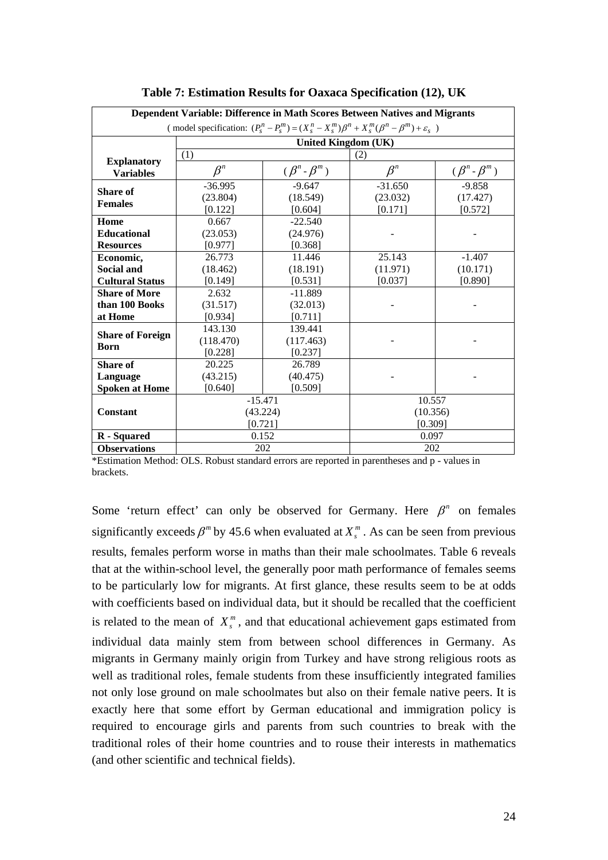|                                                                                                               | Dependent Variable: Difference in Math Scores Between Natives and Migrants |                       |             |                       |  |  |  |
|---------------------------------------------------------------------------------------------------------------|----------------------------------------------------------------------------|-----------------------|-------------|-----------------------|--|--|--|
| (model specification: $(P_s^n - P_s^m) = (X_s^n - X_s^m)\beta^n + X_s^m(\beta^n - \beta^m) + \varepsilon_s$ ) |                                                                            |                       |             |                       |  |  |  |
|                                                                                                               | <b>United Kingdom (UK)</b>                                                 |                       |             |                       |  |  |  |
|                                                                                                               |                                                                            |                       |             |                       |  |  |  |
| <b>Explanatory</b>                                                                                            | (1)                                                                        |                       | (2)         |                       |  |  |  |
| <b>Variables</b>                                                                                              | $\beta^n$                                                                  | $(\beta^n - \beta^m)$ | $\beta^{n}$ | $(\beta^n - \beta^m)$ |  |  |  |
| <b>Share of</b>                                                                                               | $-36.995$                                                                  | $-9.647$              | $-31.650$   | $-9.858$              |  |  |  |
| <b>Females</b>                                                                                                | (23.804)                                                                   | (18.549)              | (23.032)    | (17.427)              |  |  |  |
|                                                                                                               | [0.122]                                                                    | [0.604]               | [0.171]     | [0.572]               |  |  |  |
| Home                                                                                                          | 0.667                                                                      | $-22.540$             |             |                       |  |  |  |
| <b>Educational</b>                                                                                            | (23.053)                                                                   | (24.976)              |             |                       |  |  |  |
| <b>Resources</b>                                                                                              | [0.977]                                                                    | [0.368]               |             |                       |  |  |  |
| Economic,                                                                                                     | 26.773                                                                     | 11.446                | 25.143      | $-1.407$              |  |  |  |
| Social and                                                                                                    | (18.462)                                                                   | (18.191)              | (11.971)    | (10.171)              |  |  |  |
| <b>Cultural Status</b>                                                                                        | [0.149]                                                                    | [0.531]               | [0.037]     | [0.890]               |  |  |  |
| <b>Share of More</b>                                                                                          | 2.632                                                                      | $-11.889$             |             |                       |  |  |  |
| than 100 Books                                                                                                | (31.517)                                                                   | (32.013)              |             |                       |  |  |  |
| at Home                                                                                                       | [0.934]                                                                    | [0.711]               |             |                       |  |  |  |
| <b>Share of Foreign</b>                                                                                       | 143.130                                                                    | 139.441               |             |                       |  |  |  |
| <b>Born</b>                                                                                                   | (118.470)                                                                  | (117.463)             |             |                       |  |  |  |
|                                                                                                               | [0.228]                                                                    | [0.237]               |             |                       |  |  |  |
| Share of                                                                                                      | 20.225                                                                     | 26.789                |             |                       |  |  |  |
| Language                                                                                                      | (43.215)                                                                   | (40.475)              |             |                       |  |  |  |
| <b>Spoken at Home</b>                                                                                         | [0.640]                                                                    | [0.509]               |             |                       |  |  |  |
|                                                                                                               | $-15.471$                                                                  |                       | 10.557      |                       |  |  |  |
| <b>Constant</b>                                                                                               | (43.224)                                                                   |                       | (10.356)    |                       |  |  |  |
|                                                                                                               | [0.721]                                                                    |                       | [0.309]     |                       |  |  |  |
| R - Squared                                                                                                   | 0.152                                                                      |                       | 0.097       |                       |  |  |  |
| <b>Observations</b>                                                                                           | 202                                                                        |                       | 202         |                       |  |  |  |

**Table 7: Estimation Results for Oaxaca Specification (12), UK** 

\*Estimation Method: OLS. Robust standard errors are reported in parentheses and p - values in brackets.

Some 'return effect' can only be observed for Germany. Here  $\beta^n$  on females significantly exceeds  $\beta^m$  by 45.6 when evaluated at  $X^m$ . As can be seen from previous results, females perform worse in maths than their male schoolmates. Table 6 reveals that at the within-school level, the generally poor math performance of females seems to be particularly low for migrants. At first glance, these results seem to be at odds with coefficients based on individual data, but it should be recalled that the coefficient is related to the mean of  $X_{s}^{m}$ , and that educational achievement gaps estimated from individual data mainly stem from between school differences in Germany. As migrants in Germany mainly origin from Turkey and have strong religious roots as well as traditional roles, female students from these insufficiently integrated families not only lose ground on male schoolmates but also on their female native peers. It is exactly here that some effort by German educational and immigration policy is required to encourage girls and parents from such countries to break with the traditional roles of their home countries and to rouse their interests in mathematics (and other scientific and technical fields).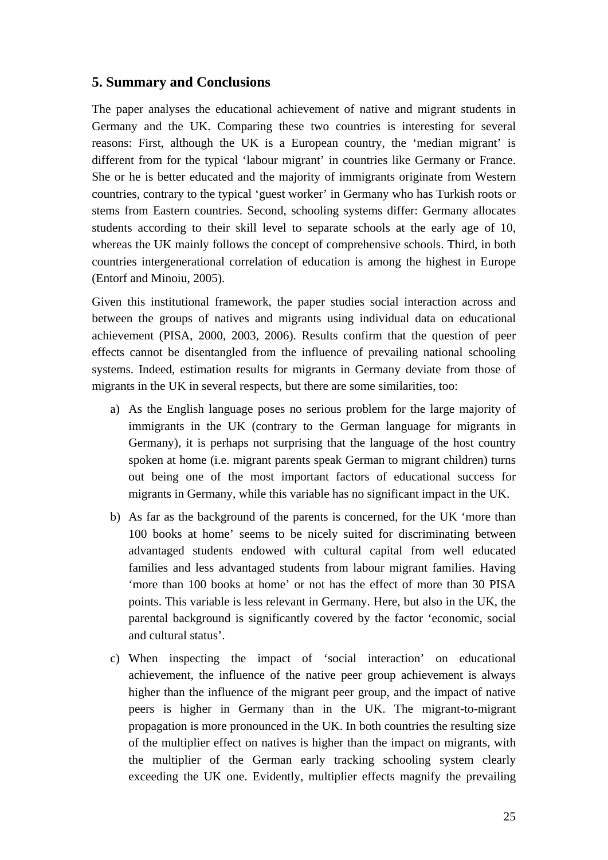### **5. Summary and Conclusions**

The paper analyses the educational achievement of native and migrant students in Germany and the UK. Comparing these two countries is interesting for several reasons: First, although the UK is a European country, the 'median migrant' is different from for the typical 'labour migrant' in countries like Germany or France. She or he is better educated and the majority of immigrants originate from Western countries, contrary to the typical 'guest worker' in Germany who has Turkish roots or stems from Eastern countries. Second, schooling systems differ: Germany allocates students according to their skill level to separate schools at the early age of 10, whereas the UK mainly follows the concept of comprehensive schools. Third, in both countries intergenerational correlation of education is among the highest in Europe (Entorf and Minoiu, 2005).

Given this institutional framework, the paper studies social interaction across and between the groups of natives and migrants using individual data on educational achievement (PISA, 2000, 2003, 2006). Results confirm that the question of peer effects cannot be disentangled from the influence of prevailing national schooling systems. Indeed, estimation results for migrants in Germany deviate from those of migrants in the UK in several respects, but there are some similarities, too:

- a) As the English language poses no serious problem for the large majority of immigrants in the UK (contrary to the German language for migrants in Germany), it is perhaps not surprising that the language of the host country spoken at home (i.e. migrant parents speak German to migrant children) turns out being one of the most important factors of educational success for migrants in Germany, while this variable has no significant impact in the UK.
- b) As far as the background of the parents is concerned, for the UK 'more than 100 books at home' seems to be nicely suited for discriminating between advantaged students endowed with cultural capital from well educated families and less advantaged students from labour migrant families. Having 'more than 100 books at home' or not has the effect of more than 30 PISA points. This variable is less relevant in Germany. Here, but also in the UK, the parental background is significantly covered by the factor 'economic, social and cultural status'.
- c) When inspecting the impact of 'social interaction' on educational achievement, the influence of the native peer group achievement is always higher than the influence of the migrant peer group, and the impact of native peers is higher in Germany than in the UK. The migrant-to-migrant propagation is more pronounced in the UK. In both countries the resulting size of the multiplier effect on natives is higher than the impact on migrants, with the multiplier of the German early tracking schooling system clearly exceeding the UK one. Evidently, multiplier effects magnify the prevailing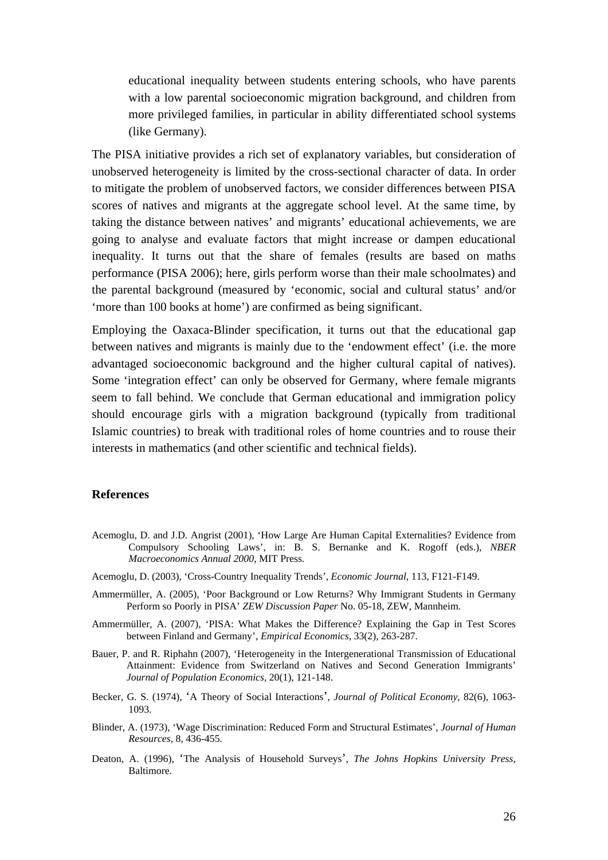educational inequality between students entering schools, who have parents with a low parental socioeconomic migration background, and children from more privileged families, in particular in ability differentiated school systems (like Germany).

The PISA initiative provides a rich set of explanatory variables, but consideration of unobserved heterogeneity is limited by the cross-sectional character of data. In order to mitigate the problem of unobserved factors, we consider differences between PISA scores of natives and migrants at the aggregate school level. At the same time, by taking the distance between natives' and migrants' educational achievements, we are going to analyse and evaluate factors that might increase or dampen educational inequality. It turns out that the share of females (results are based on maths performance (PISA 2006); here, girls perform worse than their male schoolmates) and the parental background (measured by 'economic, social and cultural status' and/or 'more than 100 books at home') are confirmed as being significant.

Employing the Oaxaca-Blinder specification, it turns out that the educational gap between natives and migrants is mainly due to the 'endowment effect' (i.e. the more advantaged socioeconomic background and the higher cultural capital of natives). Some 'integration effect' can only be observed for Germany, where female migrants seem to fall behind. We conclude that German educational and immigration policy should encourage girls with a migration background (typically from traditional Islamic countries) to break with traditional roles of home countries and to rouse their interests in mathematics (and other scientific and technical fields).

#### **References**

- Acemoglu, D. and J.D. Angrist (2001), 'How Large Are Human Capital Externalities? Evidence from Compulsory Schooling Laws', in: B. S. Bernanke and K. Rogoff (eds.), *NBER Macroeconomics Annual 2000*, MIT Press.
- Acemoglu, D. (2003), 'Cross-Country Inequality Trends', *Economic Journal*, 113, F121-F149.
- Ammermüller, A. (2005), 'Poor Background or Low Returns? Why Immigrant Students in Germany Perform so Poorly in PISA' *ZEW Discussion Paper* No. 05-18, ZEW, Mannheim.
- Ammermüller, A. (2007), 'PISA: What Makes the Difference? Explaining the Gap in Test Scores between Finland and Germany', *Empirical Economics*, 33(2), 263-287.
- Bauer, P. and R. Riphahn (2007), 'Heterogeneity in the Intergenerational Transmission of Educational Attainment: Evidence from Switzerland on Natives and Second Generation Immigrants' *Journal of Population Economics*, 20(1), 121-148.
- Becker*,* G*.* S. (1974), 'A Theory of Social Interactions', *Journal of Political Economy,* 82(6), 1063- 1093.
- Blinder, A. (1973), 'Wage Discrimination: Reduced Form and Structural Estimates', *Journal of Human Resources*, 8, 436-455*.*
- Deaton, A. (1996), 'The Analysis of Household Surveys', *The Johns Hopkins University Press*, Baltimore.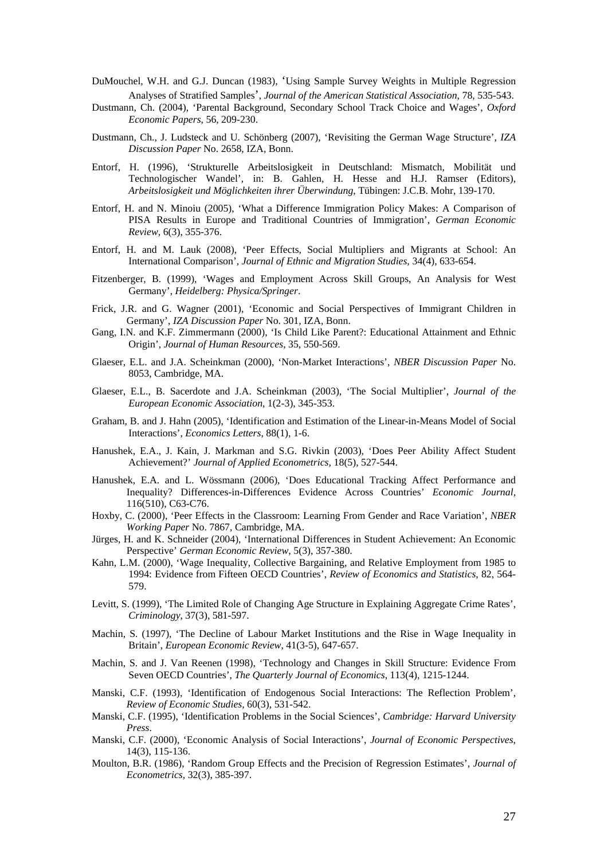- DuMouchel, W.H. and G.J. Duncan (1983), 'Using Sample Survey Weights in Multiple Regression Analyses of Stratified Samples', *Journal of the American Statistical Association*, 78, 535-543.
- Dustmann, Ch. (2004), 'Parental Background, Secondary School Track Choice and Wages', *Oxford Economic Papers*, 56, 209-230.
- Dustmann, Ch., J. Ludsteck and U. Schönberg (2007), 'Revisiting the German Wage Structure', *IZA Discussion Paper* No. 2658, IZA, Bonn.
- Entorf, H. (1996), 'Strukturelle Arbeitslosigkeit in Deutschland: Mismatch, Mobilität und Technologischer Wandel', in: B. Gahlen, H. Hesse and H.J. Ramser (Editors), *Arbeitslosigkeit und Möglichkeiten ihrer Überwindung*, Tübingen: J.C.B. Mohr, 139-170.
- Entorf, H. and N. Minoiu (2005), 'What a Difference Immigration Policy Makes: A Comparison of PISA Results in Europe and Traditional Countries of Immigration', *German Economic Review,* 6(3), 355-376.
- Entorf, H. and M. Lauk (2008), 'Peer Effects, Social Multipliers and Migrants at School: An International Comparison', *Journal of Ethnic and Migration Studies,* 34(4), 633-654.
- Fitzenberger, B. (1999), 'Wages and Employment Across Skill Groups, An Analysis for West Germany', *Heidelberg: Physica/Springer*.
- Frick, J.R. and G. Wagner (2001), 'Economic and Social Perspectives of Immigrant Children in Germany', *IZA Discussion Paper* No. 301, IZA, Bonn.
- Gang, I.N. and K.F. Zimmermann (2000), 'Is Child Like Parent?: Educational Attainment and Ethnic Origin', *Journal of Human Resources*, 35, 550-569.
- Glaeser, E.L. and J.A. Scheinkman (2000), 'Non-Market Interactions', *NBER Discussion Paper* No. 8053, Cambridge, MA.
- Glaeser, E.L., B. Sacerdote and J.A. Scheinkman (2003), 'The Social Multiplier', *Journal of the European Economic Association*, 1(2-3), 345-353.
- Graham, B. and J. Hahn (2005), 'Identification and Estimation of the Linear-in-Means Model of Social Interactions', *Economics Letters*, 88(1), 1-6.
- Hanushek, E.A., J. Kain, J. Markman and S.G. Rivkin (2003), 'Does Peer Ability Affect Student Achievement?' *Journal of Applied Econometrics,* 18(5), 527-544.
- Hanushek, E.A. and L. Wössmann (2006), 'Does Educational Tracking Affect Performance and Inequality? Differences-in-Differences Evidence Across Countries' *Economic Journal,*  116(510), C63-C76.
- Hoxby, C. (2000), 'Peer Effects in the Classroom: Learning From Gender and Race Variation', *NBER Working Paper* No. 7867, Cambridge, MA.
- Jürges, H. and K. Schneider (2004), 'International Differences in Student Achievement: An Economic Perspective' *German Economic Review,* 5(3), 357-380.
- Kahn, L.M. (2000), 'Wage Inequality, Collective Bargaining, and Relative Employment from 1985 to 1994: Evidence from Fifteen OECD Countries'*, Review of Economics and Statistics*, 82, 564- 579.
- Levitt, S. (1999), 'The Limited Role of Changing Age Structure in Explaining Aggregate Crime Rates', *Criminology*, 37(3), 581-597.
- Machin, S. (1997), 'The Decline of Labour Market Institutions and the Rise in Wage Inequality in Britain', *European Economic Review*, 41(3-5), 647-657.
- Machin, S. and J. Van Reenen (1998), 'Technology and Changes in Skill Structure: Evidence From Seven OECD Countries', *The Quarterly Journal of Economics*, 113(4), 1215-1244.
- Manski, C.F. (1993), 'Identification of Endogenous Social Interactions: The Reflection Problem', *Review of Economic Studies,* 60(3), 531-542.
- Manski, C.F. (1995), 'Identification Problems in the Social Sciences', *Cambridge: Harvard University Press*.
- Manski, C.F. (2000), 'Economic Analysis of Social Interactions', *Journal of Economic Perspectives*, 14(3), 115-136.
- Moulton, B.R. (1986), 'Random Group Effects and the Precision of Regression Estimates', *Journal of Econometrics*, 32(3), 385-397.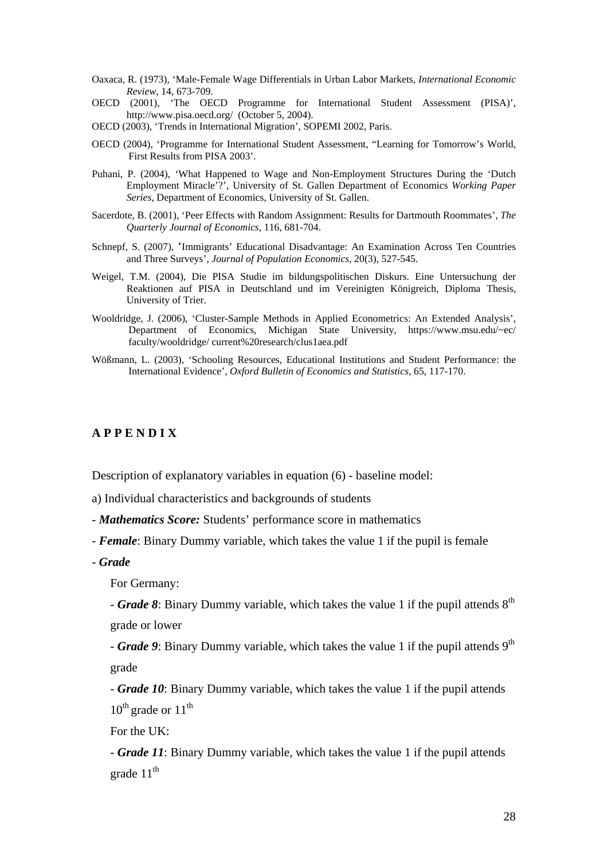- Oaxaca, R. (1973), 'Male-Female Wage Differentials in Urban Labor Markets, *International Economic Review*, 14, 673-709.
- OECD (2001), 'The OECD Programme for International Student Assessment (PISA)', http://www.pisa.oecd.org/ (October 5, 2004).
- OECD (2003), 'Trends in International Migration', SOPEMI 2002, Paris.
- OECD (2004), 'Programme for International Student Assessment, "Learning for Tomorrow's World, First Results from PISA 2003'.
- Puhani, P. (2004), 'What Happened to Wage and Non-Employment Structures During the 'Dutch Employment Miracle'?', University of St. Gallen Department of Economics *Working Paper Series*, Department of Economics, University of St. Gallen.
- Sacerdote, B. (2001), 'Peer Effects with Random Assignment: Results for Dartmouth Roommates', *The Quarterly Journal of Economics*, 116, 681-704.
- Schnepf, S. (2007), 'Immigrants' Educational Disadvantage: An Examination Across Ten Countries and Three Surveys'*, Journal of Population Economics,* 20(3), 527-545.
- Weigel, T.M. (2004), Die PISA Studie im bildungspolitischen Diskurs. Eine Untersuchung der Reaktionen auf PISA in Deutschland und im Vereinigten Königreich, Diploma Thesis, University of Trier.
- Wooldridge, J. (2006), 'Cluster-Sample Methods in Applied Econometrics: An Extended Analysis', Department of Economics, Michigan State University, https://www.msu.edu/~ec/ faculty/wooldridge/ current%20research/clus1aea.pdf
- Wößmann, L. (2003), 'Schooling Resources, Educational Institutions and Student Performance: the International Evidence', *Oxford Bulletin of Economics and Statistics*, 65, 117-170.

### **A P P E N D I X**

Description of explanatory variables in equation (6) - baseline model:

a) Individual characteristics and backgrounds of students

- *Mathematics Score:* Students' performance score in mathematics
- *Female*: Binary Dummy variable, which takes the value 1 if the pupil is female
- *Grade*

For Germany:

- *Grade 8*: Binary Dummy variable, which takes the value 1 if the pupil attends  $8^{th}$ grade or lower

- **Grade 9**: Binary Dummy variable, which takes the value 1 if the pupil attends 9<sup>th</sup> grade

- *Grade 10*: Binary Dummy variable, which takes the value 1 if the pupil attends  $10^{th}$  grade or  $11^{th}$ 

For the UK:

- *Grade 11*: Binary Dummy variable, which takes the value 1 if the pupil attends grade  $11<sup>th</sup>$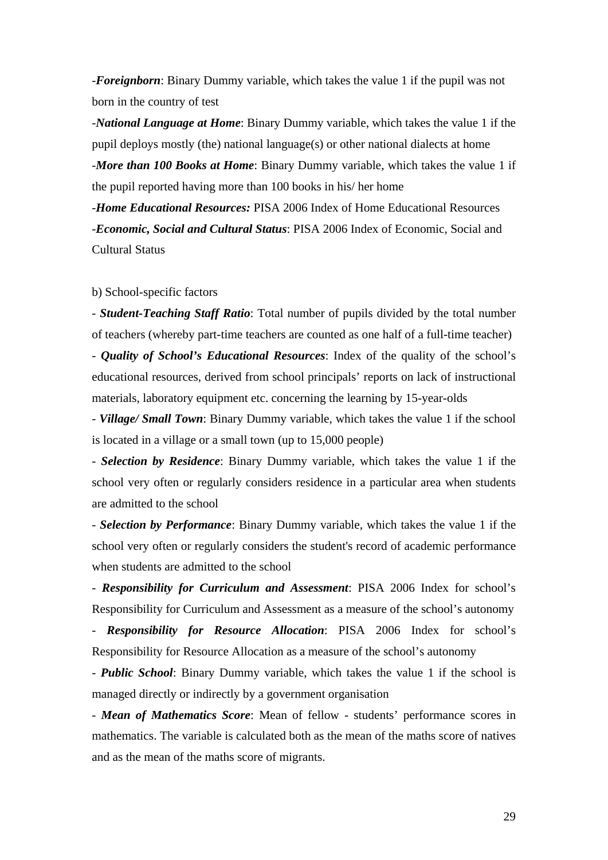-*Foreignborn*: Binary Dummy variable, which takes the value 1 if the pupil was not born in the country of test

-*National Language at Home*: Binary Dummy variable, which takes the value 1 if the pupil deploys mostly (the) national language(s) or other national dialects at home -*More than 100 Books at Home*: Binary Dummy variable, which takes the value 1 if the pupil reported having more than 100 books in his/ her home

-*Home Educational Resources:* PISA 2006 Index of Home Educational Resources -*Economic, Social and Cultural Status*: PISA 2006 Index of Economic, Social and Cultural Status

### b) School-specific factors

- *Student-Teaching Staff Ratio*: Total number of pupils divided by the total number of teachers (whereby part-time teachers are counted as one half of a full-time teacher)

- *Quality of School's Educational Resources*: Index of the quality of the school's educational resources, derived from school principals' reports on lack of instructional materials, laboratory equipment etc. concerning the learning by 15-year-olds

- *Village/ Small Town*: Binary Dummy variable, which takes the value 1 if the school is located in a village or a small town (up to 15,000 people)

- *Selection by Residence*: Binary Dummy variable, which takes the value 1 if the school very often or regularly considers residence in a particular area when students are admitted to the school

- *Selection by Performance*: Binary Dummy variable, which takes the value 1 if the school very often or regularly considers the student's record of academic performance when students are admitted to the school

- *Responsibility for Curriculum and Assessment*: PISA 2006 Index for school's Responsibility for Curriculum and Assessment as a measure of the school's autonomy - *Responsibility for Resource Allocation*: PISA 2006 Index for school's

Responsibility for Resource Allocation as a measure of the school's autonomy

- *Public School*: Binary Dummy variable, which takes the value 1 if the school is managed directly or indirectly by a government organisation

- *Mean of Mathematics Score*: Mean of fellow - students' performance scores in mathematics. The variable is calculated both as the mean of the maths score of natives and as the mean of the maths score of migrants.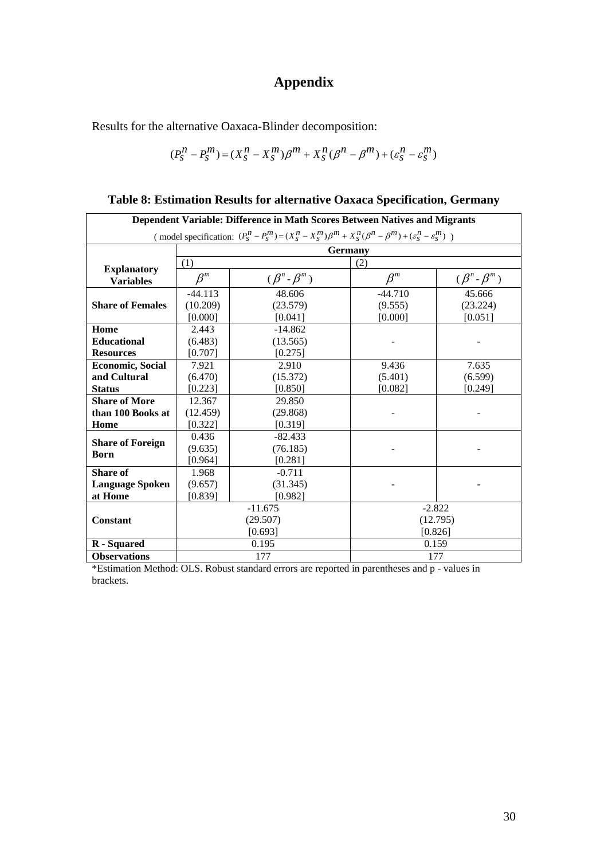# **Appendix**

Results for the alternative Oaxaca-Blinder decomposition:

$$
(P_S^n - P_S^m) = (X_S^n - X_S^m)\beta^m + X_S^n(\beta^n - \beta^m) + (\varepsilon_S^n - \varepsilon_S^m)
$$

| Dependent Variable: Difference in Math Scores Between Natives and Migrants                                                          |           |                       |           |                       |  |
|-------------------------------------------------------------------------------------------------------------------------------------|-----------|-----------------------|-----------|-----------------------|--|
| (model specification: $(P_S^n - P_S^m) = (X_S^n - X_S^m)\beta^m + X_S^n(\beta^n - \beta^m) + (\varepsilon_S^n - \varepsilon_S^m)$ ) |           |                       |           |                       |  |
|                                                                                                                                     |           | <b>Germany</b>        |           |                       |  |
|                                                                                                                                     | (1)       |                       | (2)       |                       |  |
| <b>Explanatory</b><br><b>Variables</b>                                                                                              | $\beta^m$ | $(\beta^n - \beta^m)$ | $\beta^m$ | $(\beta^n - \beta^m)$ |  |
|                                                                                                                                     | $-44.113$ | 48.606                | $-44.710$ | 45.666                |  |
| <b>Share of Females</b>                                                                                                             | (10.209)  | (23.579)              | (9.555)   | (23.224)              |  |
|                                                                                                                                     | [0.000]   | [0.041]               | [0.000]   | [0.051]               |  |
| Home                                                                                                                                | 2.443     | $-14.862$             |           |                       |  |
| <b>Educational</b>                                                                                                                  | (6.483)   | (13.565)              |           |                       |  |
| <b>Resources</b>                                                                                                                    | [0.707]   | [0.275]               |           |                       |  |
| <b>Economic, Social</b>                                                                                                             | 7.921     | 2.910                 |           | 7.635                 |  |
| and Cultural                                                                                                                        | (6.470)   | (15.372)              | (5.401)   | (6.599)               |  |
| <b>Status</b>                                                                                                                       | [0.223]   | [0.850]               | [0.082]   | [0.249]               |  |
| <b>Share of More</b>                                                                                                                | 12.367    | 29.850                |           |                       |  |
| than 100 Books at                                                                                                                   | (12.459)  | (29.868)              |           |                       |  |
| Home                                                                                                                                | [0.322]   | [0.319]               |           |                       |  |
| <b>Share of Foreign</b>                                                                                                             | 0.436     | $-82.433$             |           |                       |  |
| Born                                                                                                                                | (9.635)   | (76.185)              |           |                       |  |
|                                                                                                                                     | [0.964]   | [0.281]               |           |                       |  |
| <b>Share of</b>                                                                                                                     | 1.968     | $-0.711$              |           |                       |  |
| <b>Language Spoken</b>                                                                                                              | (9.657)   | (31.345)              |           |                       |  |
| at Home                                                                                                                             | [0.839]   | [0.982]               |           |                       |  |
|                                                                                                                                     |           | $-11.675$             | $-2.822$  |                       |  |
| <b>Constant</b>                                                                                                                     |           | (29.507)              |           | (12.795)              |  |
|                                                                                                                                     |           | [0.693]               | [0.826]   |                       |  |
| R - Squared                                                                                                                         |           | 0.195                 | 0.159     |                       |  |
| <b>Observations</b>                                                                                                                 | 177       |                       | 177       |                       |  |

**Table 8: Estimation Results for alternative Oaxaca Specification, Germany** 

\*Estimation Method: OLS. Robust standard errors are reported in parentheses and p - values in brackets.